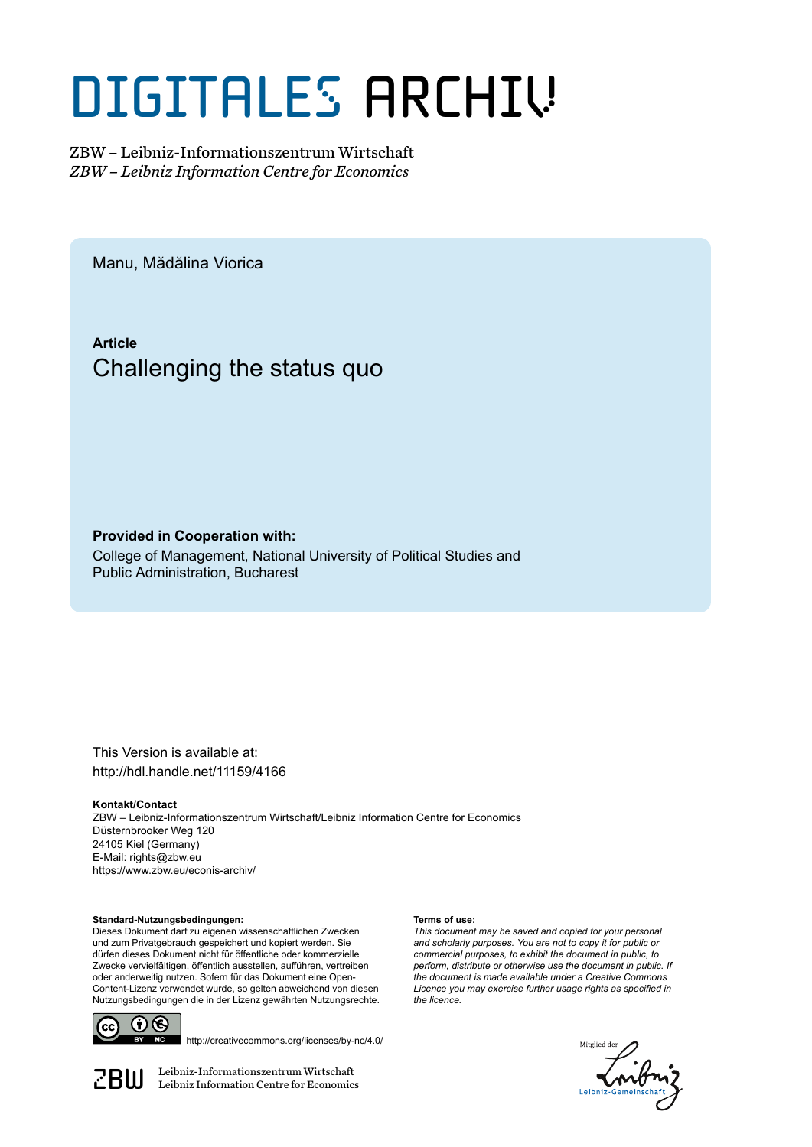# DIGITALES ARCHIV

ZBW – Leibniz-Informationszentrum Wirtschaft *ZBW – Leibniz Information Centre for Economics*

Manu, Mădălina Viorica

**Article** Challenging the status quo

**Provided in Cooperation with:**

College of Management, National University of Political Studies and Public Administration, Bucharest

This Version is available at: http://hdl.handle.net/11159/4166

#### **Kontakt/Contact**

ZBW – Leibniz-Informationszentrum Wirtschaft/Leibniz Information Centre for Economics Düsternbrooker Weg 120 24105 Kiel (Germany) E-Mail: rights@zbw.eu https://www.zbw.eu/econis-archiv/

#### **Standard-Nutzungsbedingungen:**

Dieses Dokument darf zu eigenen wissenschaftlichen Zwecken und zum Privatgebrauch gespeichert und kopiert werden. Sie dürfen dieses Dokument nicht für öffentliche oder kommerzielle Zwecke vervielfältigen, öffentlich ausstellen, aufführen, vertreiben oder anderweitig nutzen. Sofern für das Dokument eine Open-Content-Lizenz verwendet wurde, so gelten abweichend von diesen Nutzungsbedingungen die in der Lizenz gewährten Nutzungsrechte.



http://creativecommons.org/licenses/by-nc/4.0/

 $\mathbb{Z} \text{B} \text{U}$  Leibniz-Informationszentrum Wirtschaft

#### **Terms of use:**

*This document may be saved and copied for your personal and scholarly purposes. You are not to copy it for public or commercial purposes, to exhibit the document in public, to perform, distribute or otherwise use the document in public. If the document is made available under a Creative Commons Licence you may exercise further usage rights as specified in the licence.*

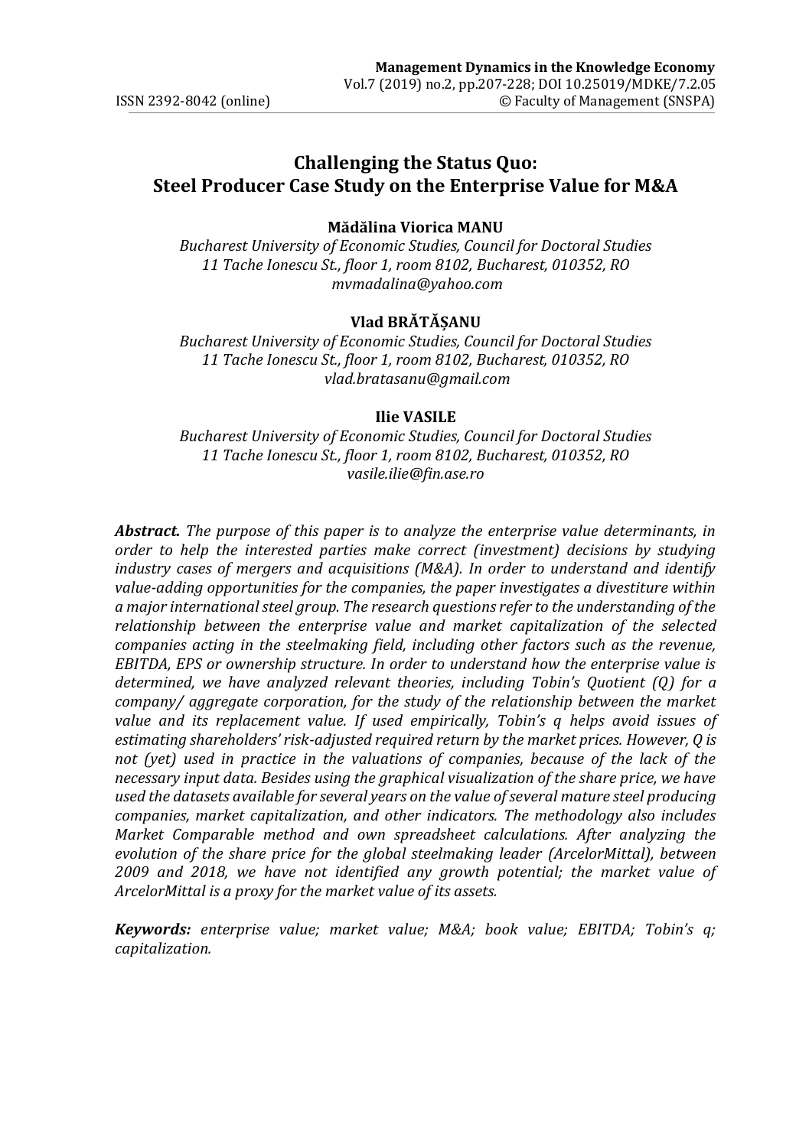# **Challenging the Status Quo: Steel Producer Case Study on the Enterprise Value for M&A**

#### **Mădălina Viorica MANU**

*Bucharest University of Economic Studies, Council for Doctoral Studies 11 Tache Ionescu St., floor 1, room 8102, Bucharest, 010352, RO mvmadalina@yahoo.com* 

#### **Vlad BRĂTĂȘANU**

*Bucharest University of Economic Studies, Council for Doctoral Studies 11 Tache Ionescu St., floor 1, room 8102, Bucharest, 010352, RO [vlad.bratasanu@gmail.com](mailto:vlad.bratasanu@gmail.com)*

#### **Ilie VASILE**

*Bucharest University of Economic Studies, Council for Doctoral Studies 11 Tache Ionescu St., floor 1, room 8102, Bucharest, 010352, RO [vasile.ilie@fin.ase.ro](mailto:vasile.ilie@fin.ase.ro)*

*Abstract. The purpose of this paper is to analyze the enterprise value determinants, in order to help the interested parties make correct (investment) decisions by studying industry cases of mergers and acquisitions (M&A). In order to understand and identify value-adding opportunities for the companies, the paper investigates a divestiture within a major international steel group. The research questions refer to the understanding of the relationship between the enterprise value and market capitalization of the selected companies acting in the steelmaking field, including other factors such as the revenue, EBITDA, EPS or ownership structure. In order to understand how the enterprise value is determined, we have analyzed relevant theories, including Tobin's Quotient (Q) for a company/ aggregate corporation, for the study of the relationship between the market value and its replacement value. If used empirically, Tobin's q helps avoid issues of estimating shareholders' risk-adjusted required return by the market prices. However, Q is*  not (yet) used in practice in the valuations of companies, because of the lack of the *necessary input data. Besides using the graphical visualization of the share price, we have used the datasets available for several years on the value of several mature steel producing companies, market capitalization, and other indicators. The methodology also includes Market Comparable method and own spreadsheet calculations. After analyzing the evolution of the share price for the global steelmaking leader (ArcelorMittal), between 2009 and 2018, we have not identified any growth potential; the market value of ArcelorMittal is a proxy for the market value of its assets.* 

*Keywords: enterprise value; market value; M&A; book value; EBITDA; Tobin's q; capitalization.*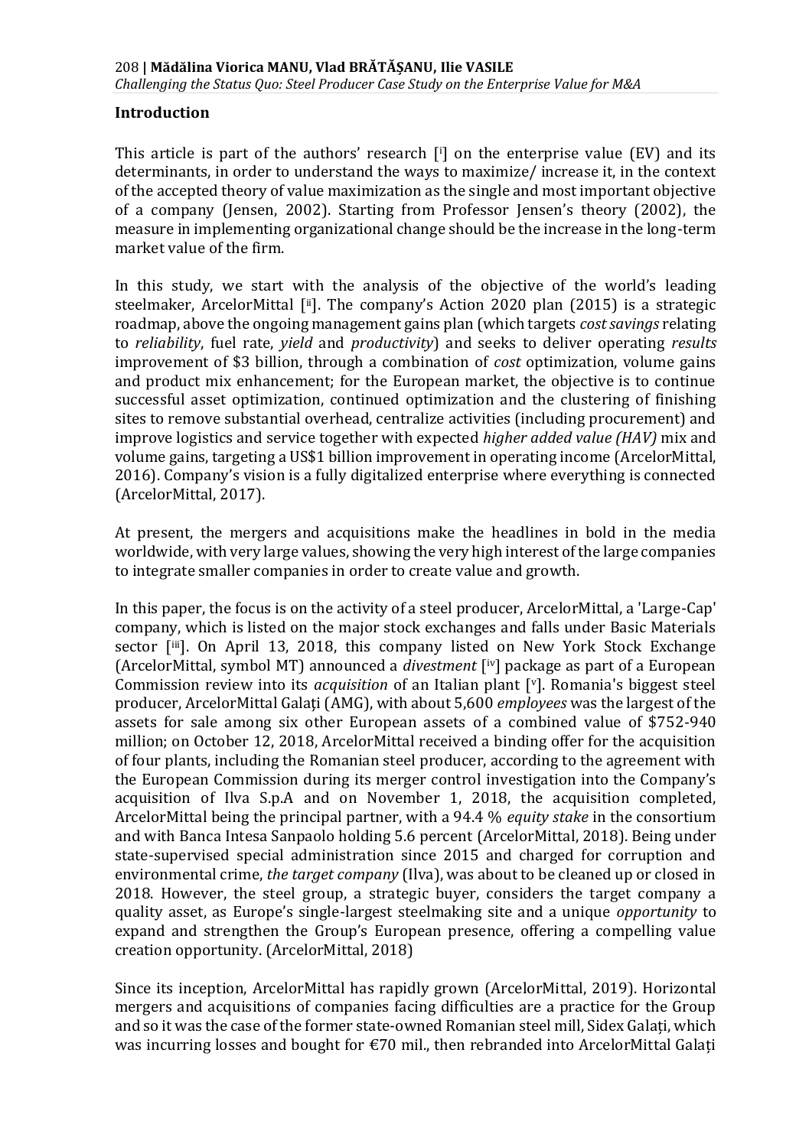#### **Introduction**

This article is part of the authors' research  $[i]$  on the enterprise value (EV) and its determinants, in order to understand the ways to maximize/ increase it, in the context of the accepted theory of value maximization as the single and most important objective of a company (Jensen, 2002). Starting from Professor Jensen's theory (2002), the measure in implementing organizational change should be the increase in the long-term market value of the firm.

In this study, we start with the analysis of the objective of the world's leading steelmaker, ArcelorMittal [ii]. The company's Action 2020 plan (2015) is a strategic roadmap, above the ongoing management gains plan (which targets *cost savings* relating to *reliability*, fuel rate, *yield* and *productivity*) and seeks to deliver operating *results* improvement of \$3 billion, through a combination of *cost* optimization, volume gains and product mix enhancement; for the European market, the objective is to continue successful asset optimization, continued optimization and the clustering of finishing sites to remove substantial overhead, centralize activities (including procurement) and improve logistics and service together with expected *higher added value (HAV)* mix and volume gains, targeting a US\$1 billion improvement in operating income (ArcelorMittal, 2016). Company's vision is a fully digitalized enterprise where everything is connected (ArcelorMittal, 2017).

At present, the mergers and acquisitions make the headlines in bold in the media worldwide, with very large values, showing the very high interest of the large companies to integrate smaller companies in order to create value and growth.

In this paper, the focus is on the activity of a steel producer, ArcelorMittal, a 'Large-Cap' company, which is listed on the major stock exchanges and falls under Basic Materials sector [iii]. On April 13, 2018, this company listed on New York Stock Exchange (ArcelorMittal, symbol MT) announced a *divestment* [ iv] package as part of a European Commission review into its *acquisition* of an Italian plant [v]. Romania's biggest steel producer, ArcelorMittal Galaţi (AMG), with about 5,600 *employees* was the largest of the assets for sale among six other European assets of a combined value of \$752-940 million; on October 12, 2018, ArcelorMittal received a binding offer for the acquisition of four plants, including the Romanian steel producer, according to the agreement with the European Commission during its merger control investigation into the Company's acquisition of Ilva S.p.A and on November 1, 2018, the acquisition completed, ArcelorMittal being the principal partner, with a 94.4 % *equity stake* in the consortium and with Banca Intesa Sanpaolo holding 5.6 percent (ArcelorMittal, 2018). Being under state-supervised special administration since 2015 and charged for corruption and environmental crime, *the target company* (Ilva), was about to be cleaned up or closed in 2018. However, the steel group, a strategic buyer, considers the target company a quality asset, as Europe's single-largest steelmaking site and a unique *opportunity* to expand and strengthen the Group's European presence, offering a compelling value creation opportunity. (ArcelorMittal, 2018)

Since its inception, ArcelorMittal has rapidly grown (ArcelorMittal, 2019). Horizontal mergers and acquisitions of companies facing difficulties are a practice for the Group and so it was the case of the former state-owned Romanian steel mill, Sidex Galați, which was incurring losses and bought for €70 mil., then rebranded into ArcelorMittal Galați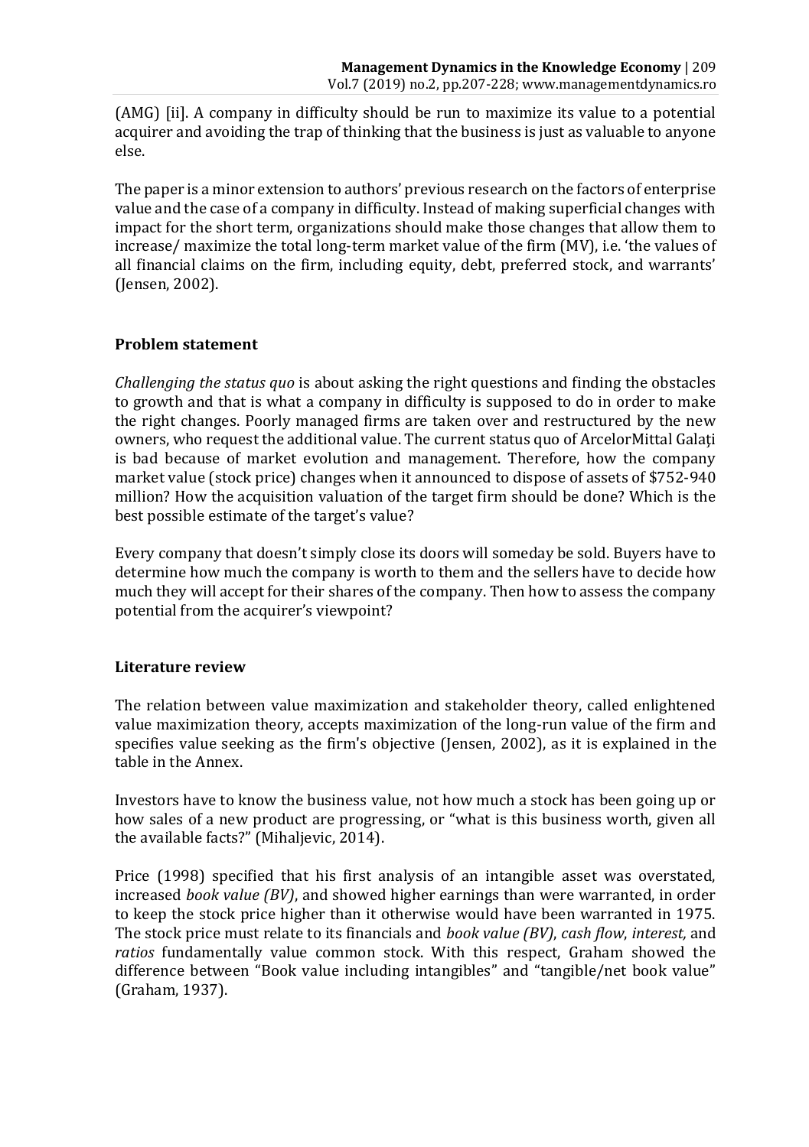(AMG) [ii]. A company in difficulty should be run to maximize its value to a potential acquirer and avoiding the trap of thinking that the business is just as valuable to anyone else.

The paper is a minor extension to authors' previous research on the factors of enterprise value and the case of a company in difficulty. Instead of making superficial changes with impact for the short term, organizations should make those changes that allow them to increase/ maximize the total long-term market value of the firm (MV), i.e. 'the values of all financial claims on the firm, including equity, debt, preferred stock, and warrants' (Jensen, 2002).

#### **Problem statement**

*Challenging the status quo* is about asking the right questions and finding the obstacles to growth and that is what a company in difficulty is supposed to do in order to make the right changes. Poorly managed firms are taken over and restructured by the new owners, who request the additional value. The current status quo of ArcelorMittal Galati is bad because of market evolution and management. Therefore, how the company market value (stock price) changes when it announced to dispose of assets of \$752-940 million? How the acquisition valuation of the target firm should be done? Which is the best possible estimate of the target's value?

Every company that doesn't simply close its doors will someday be sold. Buyers have to determine how much the company is worth to them and the sellers have to decide how much they will accept for their shares of the company. Then how to assess the company potential from the acquirer's viewpoint?

## **Literature review**

The relation between value maximization and stakeholder theory, called enlightened value maximization theory, accepts maximization of the long-run value of the firm and specifies value seeking as the firm's objective (Jensen, 2002), as it is explained in the table in the Annex.

Investors have to know the business value, not how much a stock has been going up or how sales of a new product are progressing, or "what is this business worth, given all the available facts?" (Mihaljevic, 2014).

Price (1998) specified that his first analysis of an intangible asset was overstated, increased *book value (BV)*, and showed higher earnings than were warranted, in order to keep the stock price higher than it otherwise would have been warranted in 1975. The stock price must relate to its financials and *book value (BV)*, *cash flow*, *interest,* and *ratios* fundamentally value common stock. With this respect, Graham showed the difference between "Book value including intangibles" and "tangible/net book value" (Graham, 1937).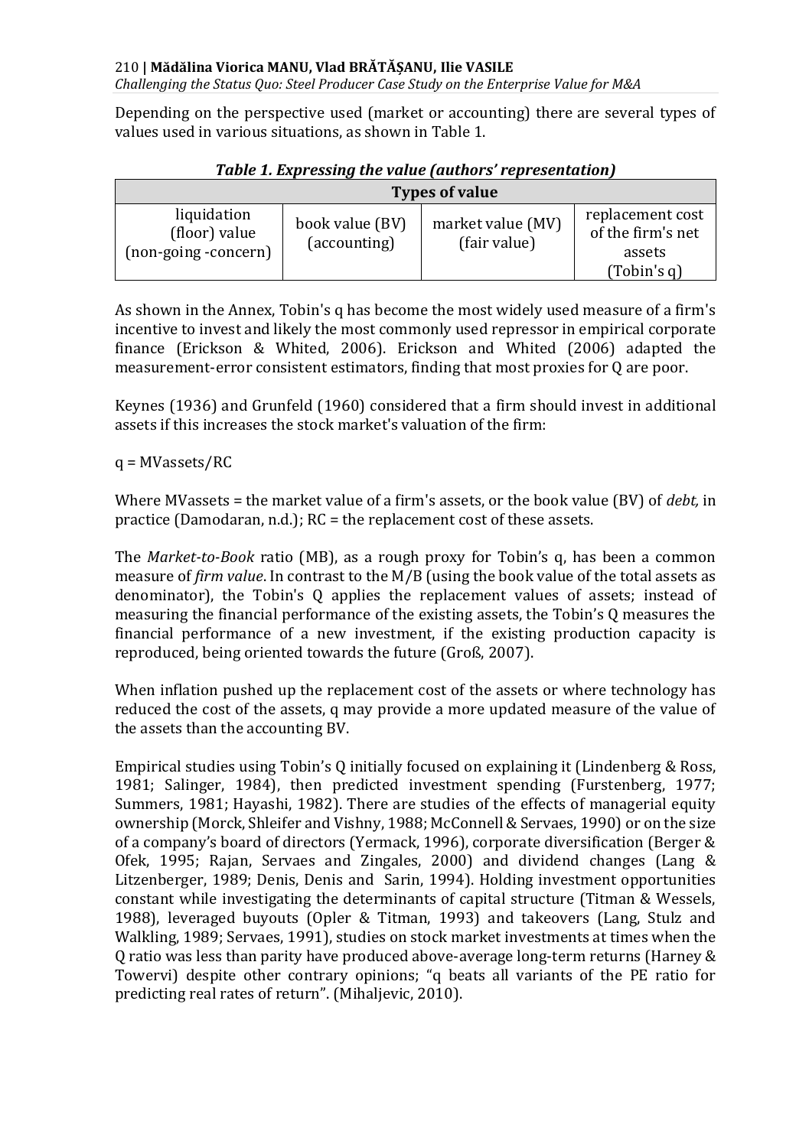*Challenging the Status Quo: Steel Producer Case Study on the Enterprise Value for M&A*

Depending on the perspective used (market or accounting) there are several types of values used in various situations, as shown in Table 1.

| <b>Types of value</b>                                |                                 |                                   |                                                                |  |  |  |  |
|------------------------------------------------------|---------------------------------|-----------------------------------|----------------------------------------------------------------|--|--|--|--|
| liquidation<br>(floor) value<br>(non-going -concern) | book value (BV)<br>(accounting) | market value (MV)<br>(fair value) | replacement cost<br>of the firm's net<br>assets<br>(Tobin's q) |  |  |  |  |

*Table 1. Expressing the value (authors' representation)*

As shown in the Annex, Tobin's q has become the most widely used measure of a firm's incentive to invest and likely the most commonly used repressor in empirical corporate finance (Erickson & Whited, 2006). Erickson and Whited (2006) adapted the measurement-error consistent estimators, finding that most proxies for Q are poor.

Keynes (1936) and Grunfeld (1960) considered that a firm should invest in additional assets if this increases the stock market's valuation of the firm:

q = MVassets/RC

Where MVassets = the market value of a firm's assets, or the book value (BV) of *debt,* in practice (Damodaran, n.d.); RC = the replacement cost of these assets.

The *Market-to-Book* ratio (MB), as a rough proxy for Tobin's q, has been a common measure of *firm value*. In contrast to the M/B (using the book value of the total assets as denominator), the Tobin's Q applies the replacement values of assets; instead of measuring the financial performance of the existing assets, the Tobin's Q measures the financial performance of a new investment, if the existing production capacity is reproduced, being oriented towards the future (Groß, 2007).

When inflation pushed up the replacement cost of the assets or where technology has reduced the cost of the assets, q may provide a more updated measure of the value of the assets than the accounting BV.

Empirical studies using Tobin's Q initially focused on explaining it (Lindenberg & Ross, 1981; Salinger, 1984), then predicted investment spending (Furstenberg, 1977; Summers, 1981; Hayashi, 1982). There are studies of the effects of managerial equity ownership (Morck, Shleifer and Vishny, 1988; McConnell & Servaes, 1990) or on the size of a company's board of directors (Yermack, 1996), corporate diversification (Berger & Ofek, 1995; Rajan, Servaes and Zingales, 2000) and dividend changes (Lang & Litzenberger, 1989; Denis, Denis and Sarin, 1994). Holding investment opportunities constant while investigating the determinants of capital structure (Titman & Wessels, 1988), leveraged buyouts (Opler & Titman, 1993) and takeovers (Lang, Stulz and Walkling, 1989; Servaes, 1991), studies on stock market investments at times when the Q ratio was less than parity have produced above-average long-term returns (Harney & Towervi) despite other contrary opinions; "q beats all variants of the PE ratio for predicting real rates of return". (Mihaljevic, 2010).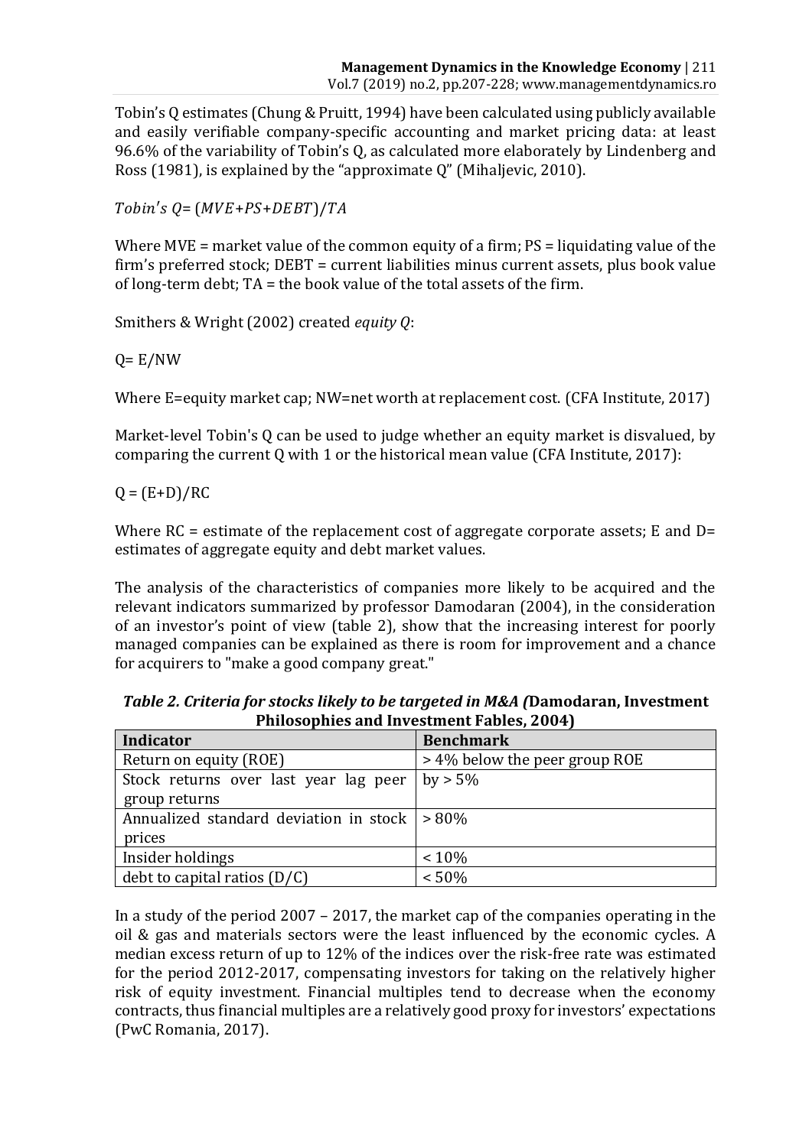Tobin's Q estimates (Chung & Pruitt, 1994) have been calculated using publicly available and easily verifiable company-specific accounting and market pricing data: at least 96.6% of the variability of Tobin's Q, as calculated more elaborately by Lindenberg and Ross (1981), is explained by the "approximate Q" (Mihaljevic, 2010).

 $Tobin's Q = (MVE+PS+DEBT)/TA$ 

Where MVE = market value of the common equity of a firm; PS = liquidating value of the firm's preferred stock; DEBT = current liabilities minus current assets, plus book value of long-term debt; TA = the book value of the total assets of the firm.

Smithers & Wright (2002) created *equity Q*:

 $Q = E/NW$ 

Where E=equity market cap; NW=net worth at replacement cost. (CFA Institute, 2017)

Market-level Tobin's Q can be used to judge whether an equity market is disvalued, by comparing the current Q with 1 or the historical mean value (CFA Institute, 2017):

 $Q = (E+D)/RC$ 

Where  $RC =$  estimate of the replacement cost of aggregate corporate assets; E and  $D=$ estimates of aggregate equity and debt market values.

The analysis of the characteristics of companies more likely to be acquired and the relevant indicators summarized by professor Damodaran (2004), in the consideration of an investor's point of view (table 2), show that the increasing interest for poorly managed companies can be explained as there is room for improvement and a chance for acquirers to "make a good company great."

| Indicator                              | <b>Benchmark</b>              |
|----------------------------------------|-------------------------------|
| Return on equity (ROE)                 | > 4% below the peer group ROE |
| Stock returns over last year lag peer  | $by > 5\%$                    |
| group returns                          |                               |
| Annualized standard deviation in stock | $> 80\%$                      |
| prices                                 |                               |
| Insider holdings                       | $~10\%$                       |
| debt to capital ratios $(D/C)$         | < 50%                         |

*Table 2. Criteria for stocks likely to be targeted in M&A (***Damodaran, Investment Philosophies and Investment Fables, 2004)**

In a study of the period 2007 – 2017, the market cap of the companies operating in the oil & gas and materials sectors were the least influenced by the economic cycles. A median excess return of up to 12% of the indices over the risk-free rate was estimated for the period 2012-2017, compensating investors for taking on the relatively higher risk of equity investment. Financial multiples tend to decrease when the economy contracts, thus financial multiples are a relatively good proxy for investors' expectations (PwC Romania, 2017).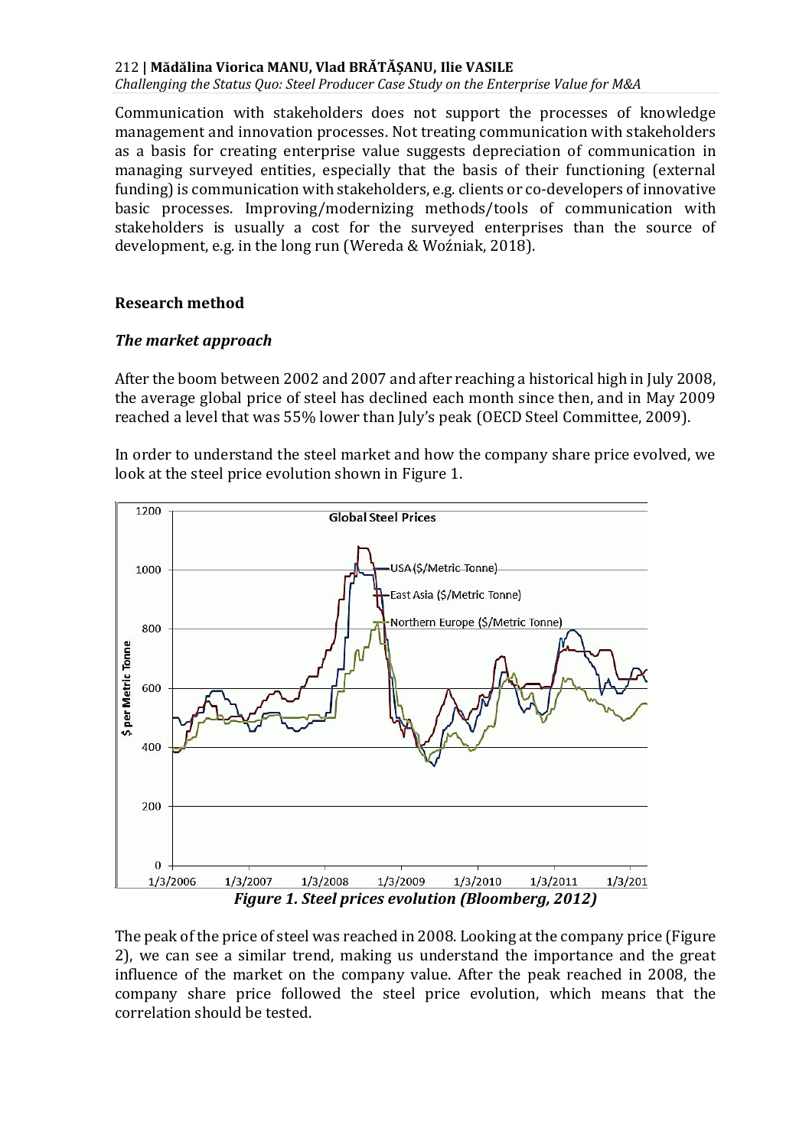*Challenging the Status Quo: Steel Producer Case Study on the Enterprise Value for M&A*

Communication with stakeholders does not support the processes of knowledge management and innovation processes. Not treating communication with stakeholders as a basis for creating enterprise value suggests depreciation of communication in managing surveyed entities, especially that the basis of their functioning (external funding) is communication with stakeholders, e.g. clients or co-developers of innovative basic processes. Improving/modernizing methods/tools of communication with stakeholders is usually a cost for the surveyed enterprises than the source of development, e.g. in the long run (Wereda & Woźniak, 2018).

#### **Research method**

#### *The market approach*

After the boom between 2002 and 2007 and after reaching a historical high in July 2008, the average global price of steel has declined each month since then, and in May 2009 reached a level that was 55% lower than July's peak (OECD Steel Committee, 2009).

In order to understand the steel market and how the company share price evolved, we look at the steel price evolution shown in Figure 1.



*Figure 1. Steel prices evolution (Bloomberg, 2012)*

The peak of the price of steel was reached in 2008. Looking at the company price (Figure 2), we can see a similar trend, making us understand the importance and the great influence of the market on the company value. After the peak reached in 2008, the company share price followed the steel price evolution, which means that the correlation should be tested.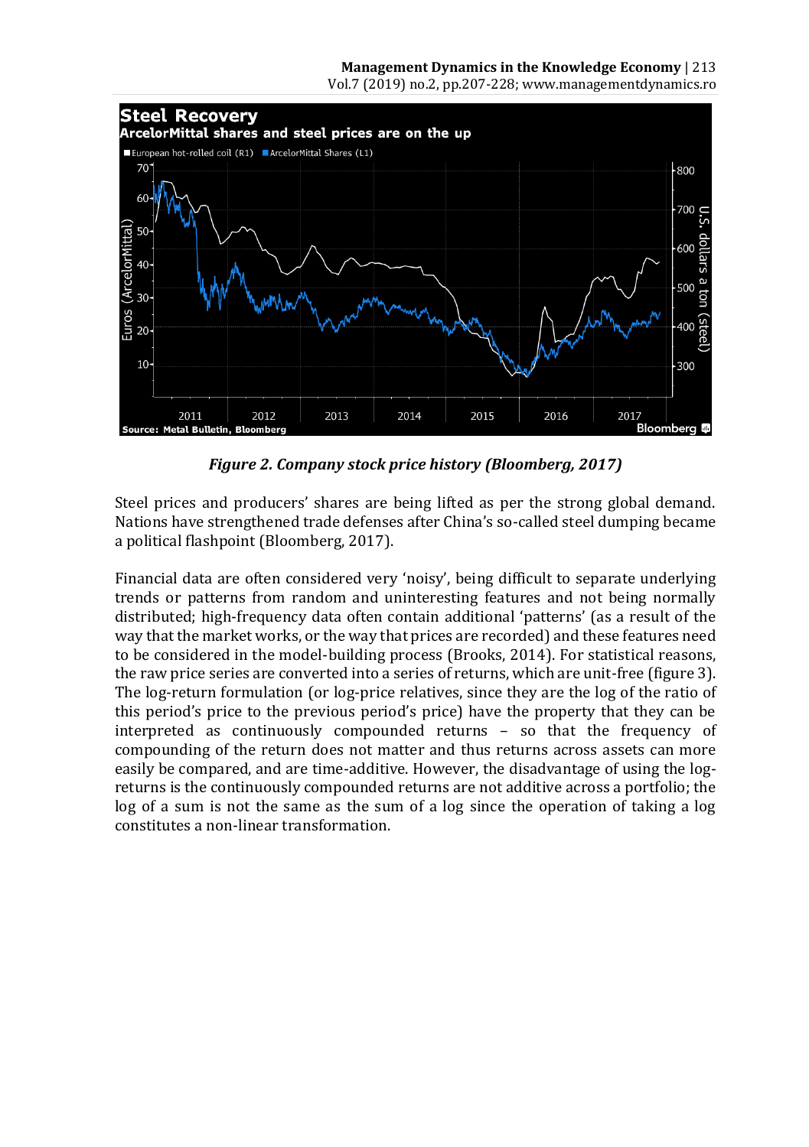

*Figure 2. Company stock price history (Bloomberg, 2017)*

Steel prices and producers' shares are being lifted as per the strong global demand. Nations have strengthened trade defenses after China's so-called steel dumping became a political flashpoint (Bloomberg, 2017).

Financial data are often considered very 'noisy', being difficult to separate underlying trends or patterns from random and uninteresting features and not being normally distributed; high-frequency data often contain additional 'patterns' (as a result of the way that the market works, or the way that prices are recorded) and these features need to be considered in the model-building process (Brooks, 2014). For statistical reasons, the raw price series are converted into a series of returns, which are unit-free (figure 3). The log-return formulation (or log-price relatives, since they are the log of the ratio of this period's price to the previous period's price) have the property that they can be interpreted as continuously compounded returns – so that the frequency of compounding of the return does not matter and thus returns across assets can more easily be compared, and are time-additive. However, the disadvantage of using the logreturns is the continuously compounded returns are not additive across a portfolio; the log of a sum is not the same as the sum of a log since the operation of taking a log constitutes a non-linear transformation.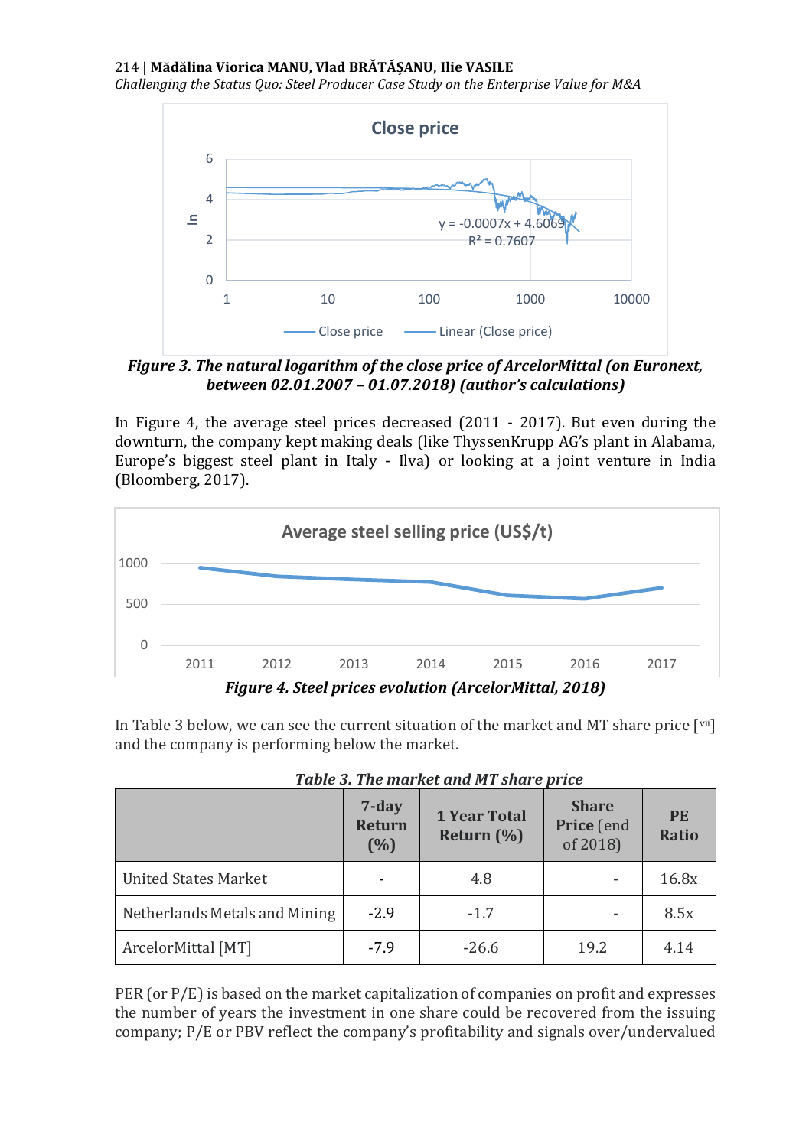*Challenging the Status Quo: Steel Producer Case Study on the Enterprise Value for M&A*



*Figure 3. The natural logarithm of the close price of ArcelorMittal (on Euronext, between 02.01.2007 – 01.07.2018) (author's calculations)*

In Figure 4, the average steel prices decreased (2011 - 2017). But even during the downturn, the company kept making deals (like ThyssenKrupp AG's plant in Alabama, Europe's biggest steel plant in Italy - Ilva) or looking at a joint venture in India (Bloomberg, 2017).



*Figure 4. Steel prices evolution (ArcelorMittal, 2018)*

In Table 3 below, we can see the current situation of the market and MT share price  $\lceil$ <sup>vii</sup>] and the company is performing below the market.

|                               | 7-day<br><b>Return</b><br>(%) | <b>1 Year Total</b><br>Return $(\%)$ | <b>Share</b><br>Price (end<br>of 2018) | <b>PF</b><br><b>Ratio</b> |
|-------------------------------|-------------------------------|--------------------------------------|----------------------------------------|---------------------------|
| <b>United States Market</b>   |                               | 4.8                                  |                                        | 16.8x                     |
| Netherlands Metals and Mining | $-2.9$                        | $-1.7$                               | $\overline{\phantom{a}}$               | 8.5x                      |
| ArcelorMittal [MT]            | $-7.9$                        | $-26.6$                              | 19.2                                   | 4.14                      |

|  |  | Table 3. The market and MT share price |  |  |  |  |
|--|--|----------------------------------------|--|--|--|--|
|--|--|----------------------------------------|--|--|--|--|

PER (or P/E) is based on the market capitalization of companies on profit and expresses the number of years the investment in one share could be recovered from the issuing company; P/E or PBV reflect the company's profitability and signals over/undervalued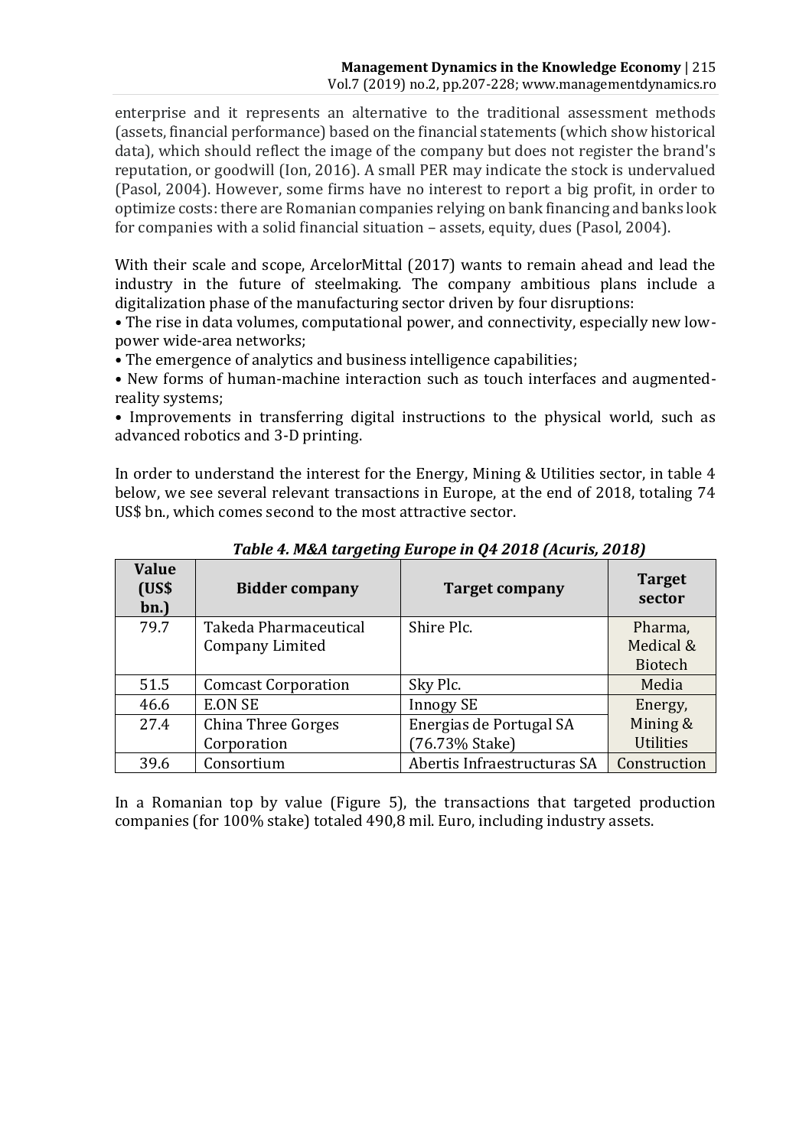enterprise and it represents an alternative to the traditional assessment methods (assets, financial performance) based on the financial statements (which show historical data), which should reflect the image of the company but does not register the brand's reputation, or goodwill (Ion, 2016). A small PER may indicate the stock is undervalued (Pasol, 2004). However, some firms have no interest to report a big profit, in order to optimize costs: there are Romanian companies relying on bank financing and banks look for companies with a solid financial situation – assets, equity, dues (Pasol, 2004).

With their scale and scope, ArcelorMittal (2017) wants to remain ahead and lead the industry in the future of steelmaking. The company ambitious plans include a digitalization phase of the manufacturing sector driven by four disruptions:

• The rise in data volumes, computational power, and connectivity, especially new lowpower wide-area networks;

• The emergence of analytics and business intelligence capabilities;

• New forms of human-machine interaction such as touch interfaces and augmentedreality systems;

• Improvements in transferring digital instructions to the physical world, such as advanced robotics and 3-D printing.

In order to understand the interest for the Energy, Mining & Utilities sector, in table 4 below, we see several relevant transactions in Europe, at the end of 2018, totaling 74 US\$ bn., which comes second to the most attractive sector.

| Value<br>(US <sub>5</sub> )<br>bn.) | <b>Bidder company</b>      | <b>Target company</b>       | <b>Target</b><br>sector |
|-------------------------------------|----------------------------|-----------------------------|-------------------------|
| 79.7                                | Takeda Pharmaceutical      | Shire Plc.                  | Pharma,                 |
|                                     | Company Limited            |                             | Medical &               |
|                                     |                            |                             | <b>Biotech</b>          |
| 51.5                                | <b>Comcast Corporation</b> | Sky Plc.                    | Media                   |
| 46.6                                | <b>E.ON SE</b>             | <b>Innogy SE</b>            | Energy,                 |
| 27.4                                | China Three Gorges         | Energias de Portugal SA     | Mining &                |
|                                     | Corporation                | (76.73% Stake)              | <b>Utilities</b>        |
| 39.6                                | Consortium                 | Abertis Infraestructuras SA | Construction            |

*Table 4. M&A targeting Europe in Q4 2018 (Acuris, 2018)*

In a Romanian top by value (Figure 5), the transactions that targeted production companies (for 100% stake) totaled 490,8 mil. Euro, including industry assets.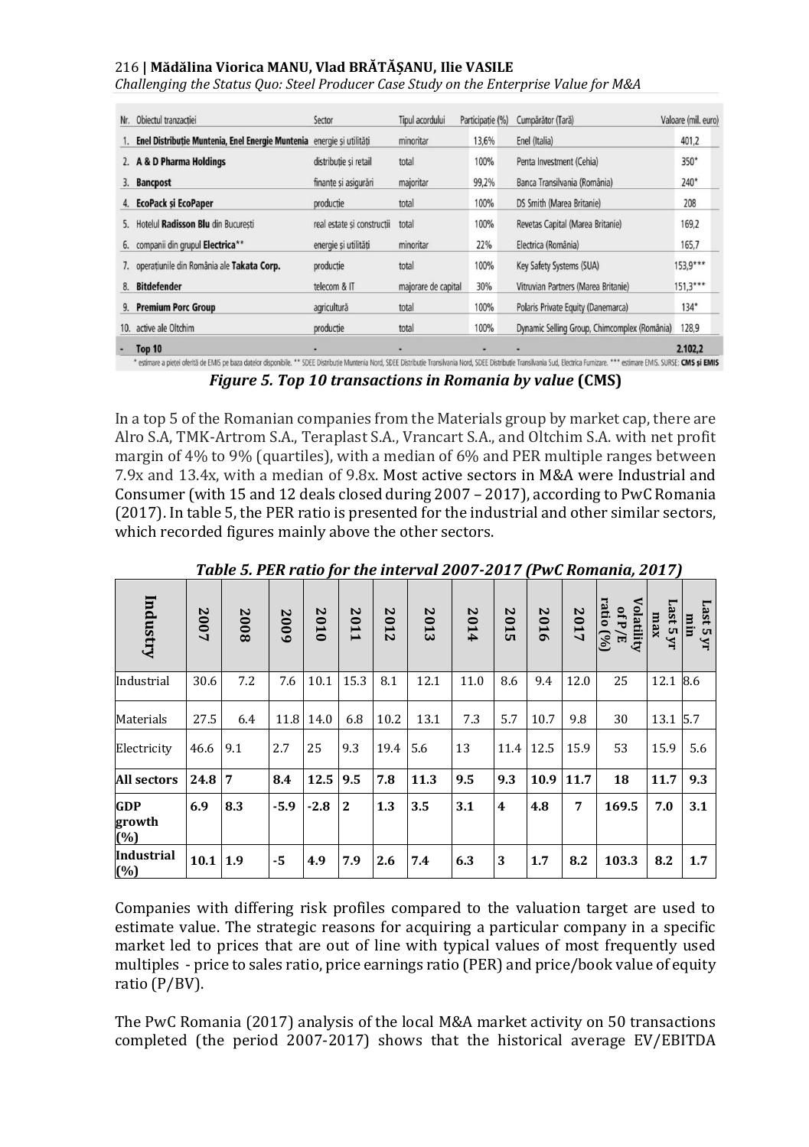*Challenging the Status Quo: Steel Producer Case Study on the Enterprise Value for M&A*

| Nr. | Objectul tranzactiei                                                  | Sector                     | Tipul acordului     | Participatie (%) | Cumpărător (Tară)                            | Valoare (mil. euro) |
|-----|-----------------------------------------------------------------------|----------------------------|---------------------|------------------|----------------------------------------------|---------------------|
|     | Enel Distributie Muntenia, Enel Energie Muntenia energie și utilități |                            | minoritar           | 13,6%            | Enel (Italia)                                | 401.2               |
|     | 2. A & D Pharma Holdings                                              | distributie si retail      | total               | 100%             | Penta Investment (Cehia)                     | 350*                |
| 3.  | <b>Bancpost</b>                                                       | finante si asigurări       | majoritar           | 99,2%            | Banca Transilvania (România)                 | $240*$              |
| 4.  | <b>EcoPack si EcoPaper</b>                                            | productie                  | total               | 100%             | DS Smith (Marea Britanie)                    | 208                 |
| 5.  | Hotelul Radisson Blu din Bucuresti                                    | real estate si constructii | total               | 100%             | Revetas Capital (Marea Britanie)             | 169,2               |
|     | 6. companii din grupul Electrica**                                    | energie si utilităti       | minoritar           | 22%              | Electrica (România)                          | 165,7               |
|     | 7. operatiunile din România ale Takata Corp.                          | productie                  | total               | 100%             | Key Safety Systems (SUA)                     | 153,9***            |
| 8.  | <b>Bitdefender</b>                                                    | telecom & IT               | majorare de capital | 30%              | Vitruvian Partners (Marea Britanie)          | $151,3***$          |
| 9.  | <b>Premium Porc Group</b>                                             | agricultură                | total               | 100%             | Polaris Private Equity (Danemarca)           | $134*$              |
| 10. | active ale Oltchim                                                    | productie                  | total               | 100%             | Dynamic Selling Group, Chimcomplex (România) | 128,9               |
|     | Top 10                                                                | ۰                          | ۰                   |                  |                                              | 2.102,2             |

*Figure 5. Top 10 transactions in Romania by value* **(CMS)**

In a top 5 of the Romanian companies from the Materials group by market cap, there are Alro S.A, TMK-Artrom S.A., Teraplast S.A., Vrancart S.A., and Oltchim S.A. with net profit margin of 4% to 9% (quartiles), with a median of 6% and PER multiple ranges between 7.9x and 13.4x, with a median of 9.8x. Most active sectors in M&A were Industrial and Consumer (with 15 and 12 deals closed during 2007 – 2017), according to PwC Romania (2017). In table 5, the PER ratio is presented for the industrial and other similar sectors, which recorded figures mainly above the other sectors.

| Industry                    | 2007 | 2008           | 2009   | 2010      | 2011           | 2012 | 2013 | 2014 | $\overline{0}$<br>됴     | 2016      | 2017 | Volatility<br>ratio<br>of P<br>ડિ<br>ले | Last 5 yr<br>xem | Last 5<br>lĒ.<br>$\mathbf{M}$ |
|-----------------------------|------|----------------|--------|-----------|----------------|------|------|------|-------------------------|-----------|------|-----------------------------------------|------------------|-------------------------------|
| Industrial                  | 30.6 | 7.2            | 7.6    | 10.1      | 15.3           | 8.1  | 12.1 | 11.0 | 8.6                     | 9.4       | 12.0 | 25                                      | 12.1             | 8.6                           |
| Materials                   | 27.5 | 6.4            |        | 11.8 14.0 | 6.8            | 10.2 | 13.1 | 7.3  | 5.7                     | 10.7      | 9.8  | 30                                      | 13.1             | 5.7                           |
| Electricity                 | 46.6 | 9.1            | 2.7    | 25        | 9.3            | 19.4 | 5.6  | 13   |                         | 11.4 12.5 | 15.9 | 53                                      | 15.9             | 5.6                           |
| <b>All sectors</b>          | 24.8 | $\overline{7}$ | 8.4    | 12.5      | 9.5            | 7.8  | 11.3 | 9.5  | 9.3                     | 10.9 11.7 |      | 18                                      | 11.7             | 9.3                           |
| <b>GDP</b><br>growth<br>(%) | 6.9  | 8.3            | $-5.9$ | $-2.8$    | $\overline{2}$ | 1.3  | 3.5  | 3.1  | $\overline{\mathbf{4}}$ | 4.8       | 7    | 169.5                                   | 7.0              | 3.1                           |
| <b>Industrial</b><br>(%)    | 10.1 | 1.9            | -5     | 4.9       | 7.9            | 2.6  | 7.4  | 6.3  | 3                       | 1.7       | 8.2  | 103.3                                   | 8.2              | 1.7                           |

*Table 5. PER ratio for the interval 2007-2017 (PwC Romania, 2017)*

Companies with differing risk profiles compared to the valuation target are used to estimate value. The strategic reasons for acquiring a particular company in a specific market led to prices that are out of line with typical values of most frequently used multiples - price to sales ratio, price earnings ratio (PER) and price/book value of equity ratio (P/BV).

The PwC Romania (2017) analysis of the local M&A market activity on 50 transactions completed (the period 2007-2017) shows that the historical average EV/EBITDA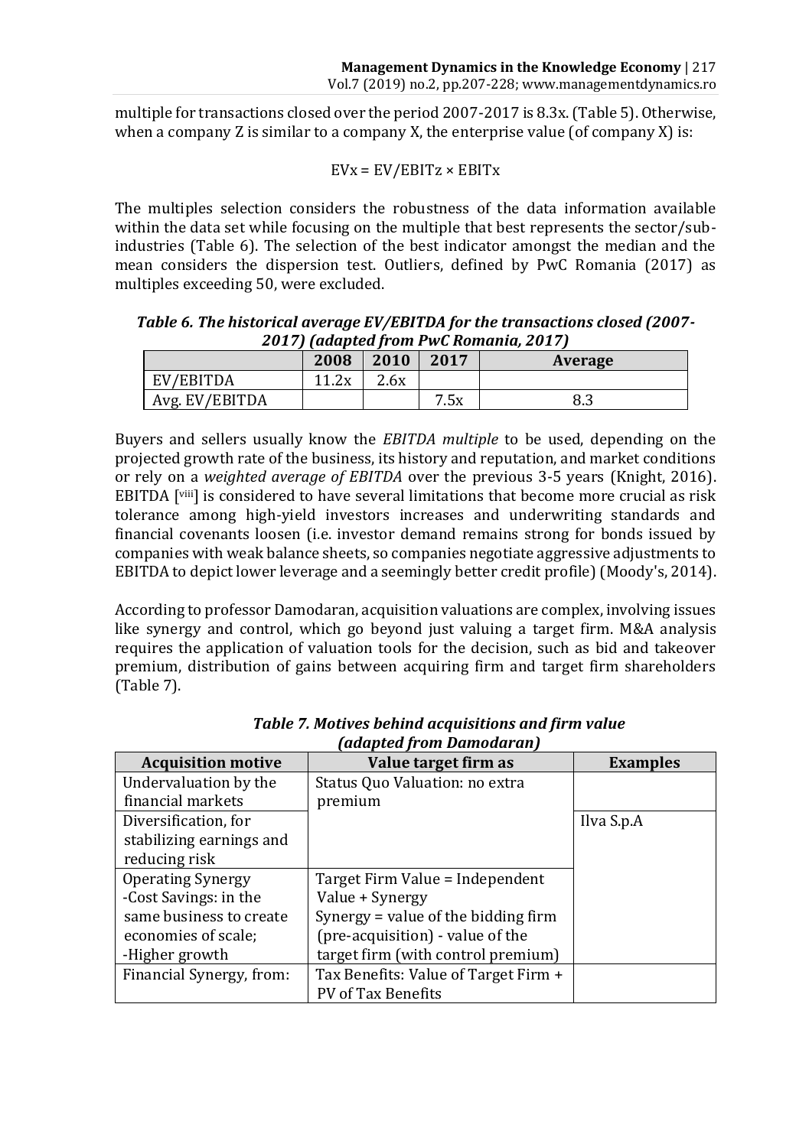multiple for transactions closed over the period 2007-2017 is 8.3x. (Table 5). Otherwise, when a company Z is similar to a company X, the enterprise value (of company X) is:

$$
EVx = EV/EBITz \times EBITx
$$

The multiples selection considers the robustness of the data information available within the data set while focusing on the multiple that best represents the sector/subindustries (Table 6). The selection of the best indicator amongst the median and the mean considers the dispersion test. Outliers, defined by PwC Romania (2017) as multiples exceeding 50, were excluded.

*Table 6. The historical average EV/EBITDA for the transactions closed (2007- 2017) (adapted from PwC Romania, 2017)*

|                | 2008              | 2010 | 2017 | <b>Average</b> |
|----------------|-------------------|------|------|----------------|
| EV/EBITDA      | ົາ⊽<br>11<br>1.4A | 2.6x |      |                |
| Avg. EV/EBITDA |                   |      | 7.5x | оσ<br>ი.ა      |

Buyers and sellers usually know the *EBITDA multiple* to be used, depending on the projected growth rate of the business, its history and reputation, and market conditions or rely on a *weighted average of EBITDA* over the previous 3-5 years (Knight, 2016). EBITDA [viii] is considered to have several limitations that become more crucial as risk tolerance among high-yield investors increases and underwriting standards and financial covenants loosen (i.e. investor demand remains strong for bonds issued by companies with weak balance sheets, so companies negotiate aggressive adjustments to EBITDA to depict lower leverage and a seemingly better credit profile) (Moody's, 2014).

According to professor Damodaran, acquisition valuations are complex, involving issues like synergy and control, which go beyond just valuing a target firm. M&A analysis requires the application of valuation tools for the decision, such as bid and takeover premium, distribution of gains between acquiring firm and target firm shareholders (Table 7).

| auaptea ji om banioual all j |                                      |                 |  |  |  |  |
|------------------------------|--------------------------------------|-----------------|--|--|--|--|
| <b>Acquisition motive</b>    | Value target firm as                 | <b>Examples</b> |  |  |  |  |
| Undervaluation by the        | Status Quo Valuation: no extra       |                 |  |  |  |  |
| financial markets            | premium                              |                 |  |  |  |  |
| Diversification, for         |                                      | Ilva S.p.A      |  |  |  |  |
| stabilizing earnings and     |                                      |                 |  |  |  |  |
| reducing risk                |                                      |                 |  |  |  |  |
| <b>Operating Synergy</b>     | Target Firm Value = Independent      |                 |  |  |  |  |
| -Cost Savings: in the        | Value + Synergy                      |                 |  |  |  |  |
| same business to create      | Synergy = value of the bidding firm  |                 |  |  |  |  |
| economies of scale:          | (pre-acquisition) - value of the     |                 |  |  |  |  |
| -Higher growth               | target firm (with control premium)   |                 |  |  |  |  |
| Financial Synergy, from:     | Tax Benefits: Value of Target Firm + |                 |  |  |  |  |
|                              | PV of Tax Benefits                   |                 |  |  |  |  |

*Table 7. Motives behind acquisitions and firm value (adapted from Damodaran)*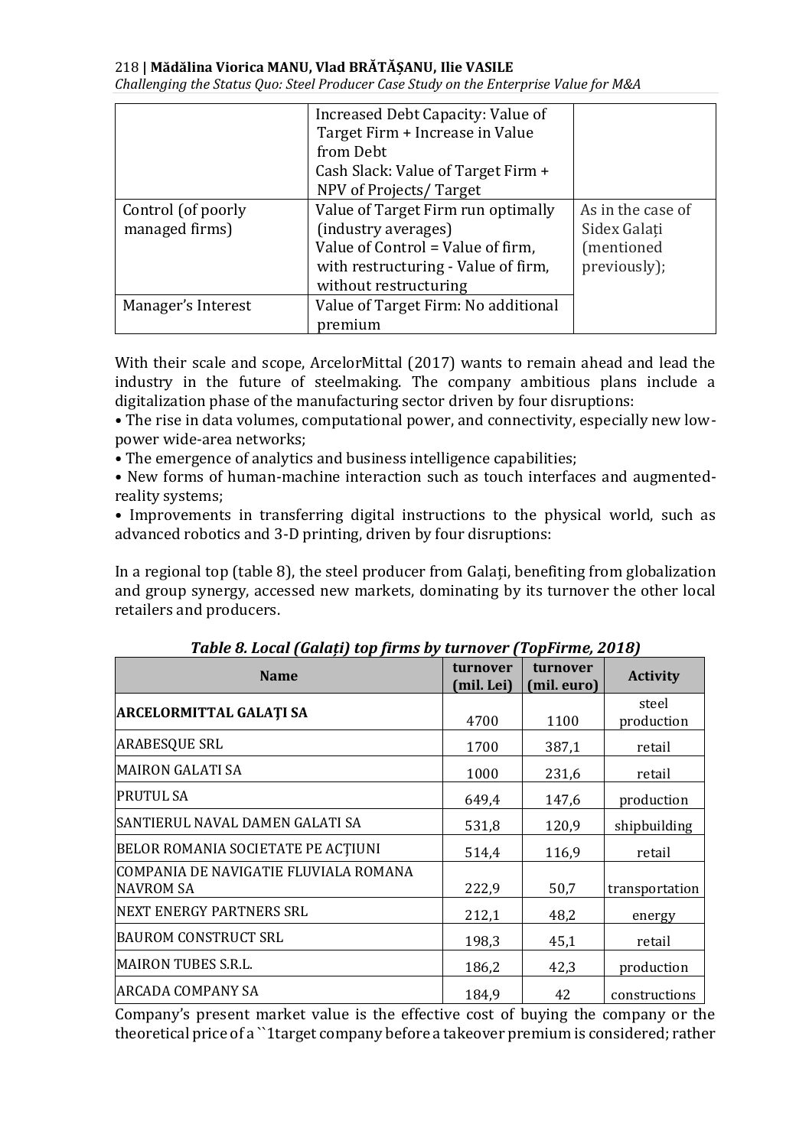*Challenging the Status Quo: Steel Producer Case Study on the Enterprise Value for M&A*

|                    | Increased Debt Capacity: Value of   |                   |
|--------------------|-------------------------------------|-------------------|
|                    | Target Firm + Increase in Value     |                   |
|                    | from Debt                           |                   |
|                    | Cash Slack: Value of Target Firm +  |                   |
|                    | NPV of Projects/Target              |                   |
| Control (of poorly | Value of Target Firm run optimally  | As in the case of |
| managed firms)     | (industry averages)                 | Sidex Galati      |
|                    | Value of Control = Value of firm,   | (mentioned)       |
|                    | with restructuring - Value of firm, | previously);      |
|                    | without restructuring               |                   |
| Manager's Interest | Value of Target Firm: No additional |                   |
|                    | premium                             |                   |

With their scale and scope, ArcelorMittal (2017) wants to remain ahead and lead the industry in the future of steelmaking. The company ambitious plans include a digitalization phase of the manufacturing sector driven by four disruptions:

• The rise in data volumes, computational power, and connectivity, especially new lowpower wide-area networks;

• The emergence of analytics and business intelligence capabilities;

• New forms of human-machine interaction such as touch interfaces and augmentedreality systems;

• Improvements in transferring digital instructions to the physical world, such as advanced robotics and 3-D printing, driven by four disruptions:

In a regional top (table 8), the steel producer from Galați, benefiting from globalization and group synergy, accessed new markets, dominating by its turnover the other local retailers and producers.

| <b>Name</b>                                               | turnover<br>(mil. Lei) | turnover<br>(mil. euro) | <b>Activity</b>     |
|-----------------------------------------------------------|------------------------|-------------------------|---------------------|
| <b>ARCELORMITTAL GALATI SA</b>                            | 4700                   | 1100                    | steel<br>production |
| <b>ARABESOUE SRL</b>                                      | 1700                   | 387,1                   | retail              |
| <b>MAIRON GALATI SA</b>                                   | 1000                   | 231,6                   | retail              |
| PRUTUL SA                                                 | 649,4                  | 147,6                   | production          |
| SANTIERUL NAVAL DAMEN GALATI SA                           | 531,8                  | 120,9                   | shipbuilding        |
| BELOR ROMANIA SOCIETATE PE ACTIUNI                        | 514,4                  | 116,9                   | retail              |
| COMPANIA DE NAVIGATIE FLUVIALA ROMANA<br><b>NAVROM SA</b> | 222,9                  | 50,7                    | transportation      |
| INEXT ENERGY PARTNERS SRL                                 | 212,1                  | 48,2                    | energy              |
| BAUROM CONSTRUCT SRL                                      | 198.3                  | 45,1                    | retail              |
| MAIRON TUBES S.R.L.                                       | 186,2                  | 42,3                    | production          |
| ARCADA COMPANY SA                                         | 184.9                  | 42                      | constructions       |

*Table 8. Local (Galați) top firms by turnover (TopFirme, 2018)*

Company's present market value is the effective cost of buying the company or the theoretical price of a ``1target company before a takeover premium is considered; rather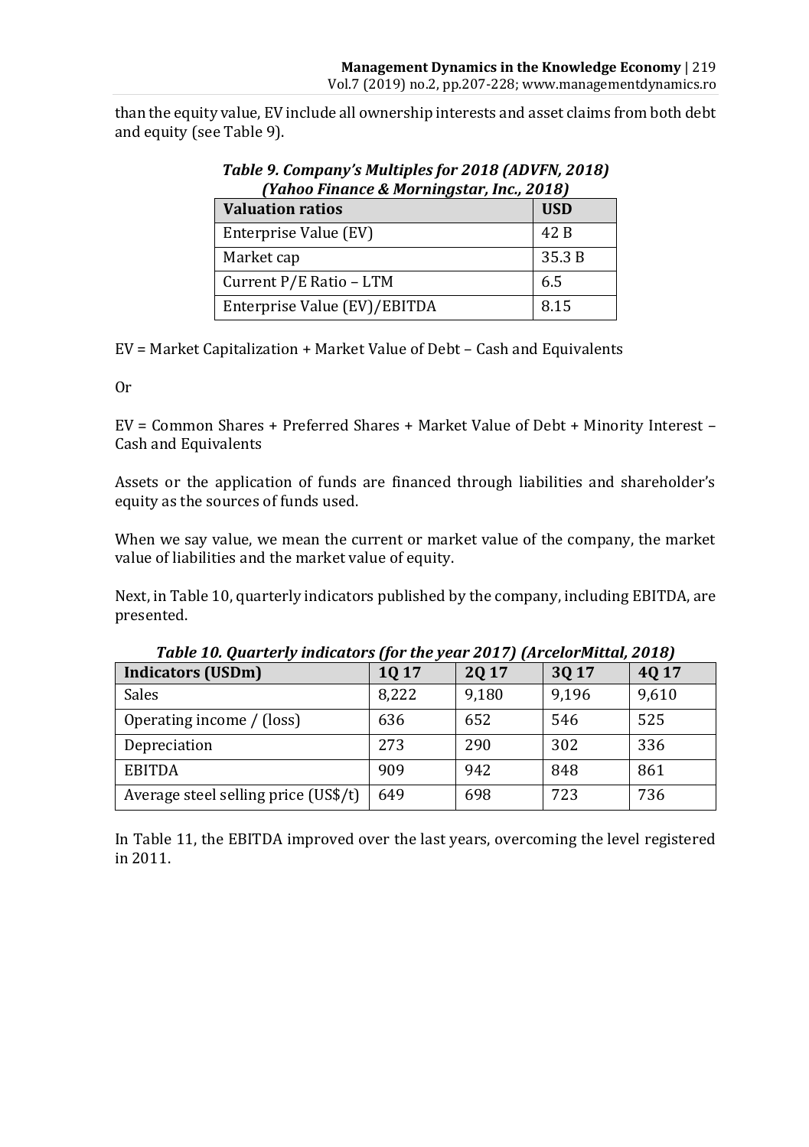than the equity value, EV include all ownership interests and asset claims from both debt and equity (see Table 9).

| franoo Finance & Morningstar, Inc., 2018)<br><b>Valuation ratios</b> | <b>USD</b> |
|----------------------------------------------------------------------|------------|
| Enterprise Value (EV)                                                | 42 B       |
| Market cap                                                           | 35.3 B     |
| Current P/E Ratio - LTM                                              | 6.5        |
| Enterprise Value (EV)/EBITDA                                         | 8.15       |

*Table 9. Company's Multiples for 2018 (ADVFN, 2018) (Yahoo Finance & Morningstar, Inc., 2018)*

EV = Market Capitalization + Market Value of Debt – Cash and Equivalents

Or

EV = Common Shares + Preferred Shares + Market Value of Debt + Minority Interest – Cash and Equivalents

Assets or the application of funds are financed through liabilities and shareholder's equity as the sources of funds used.

When we say value, we mean the current or market value of the company, the market value of liabilities and the market value of equity.

Next, in Table 10, quarterly indicators published by the company, including EBITDA, are presented.

| <b>Indicators (USDm)</b>             | 1Q 17 | 2Q 17 | 3Q 17 | 4Q 17 |
|--------------------------------------|-------|-------|-------|-------|
| Sales                                | 8,222 | 9,180 | 9,196 | 9,610 |
| Operating income / (loss)            | 636   | 652   | 546   | 525   |
| Depreciation                         | 273   | 290   | 302   | 336   |
| <b>EBITDA</b>                        | 909   | 942   | 848   | 861   |
| Average steel selling price (US\$/t) | 649   | 698   | 723   | 736   |

*Table 10. Quarterly indicators (for the year 2017) (ArcelorMittal, 2018)*

In Table 11, the EBITDA improved over the last years, overcoming the level registered in 2011.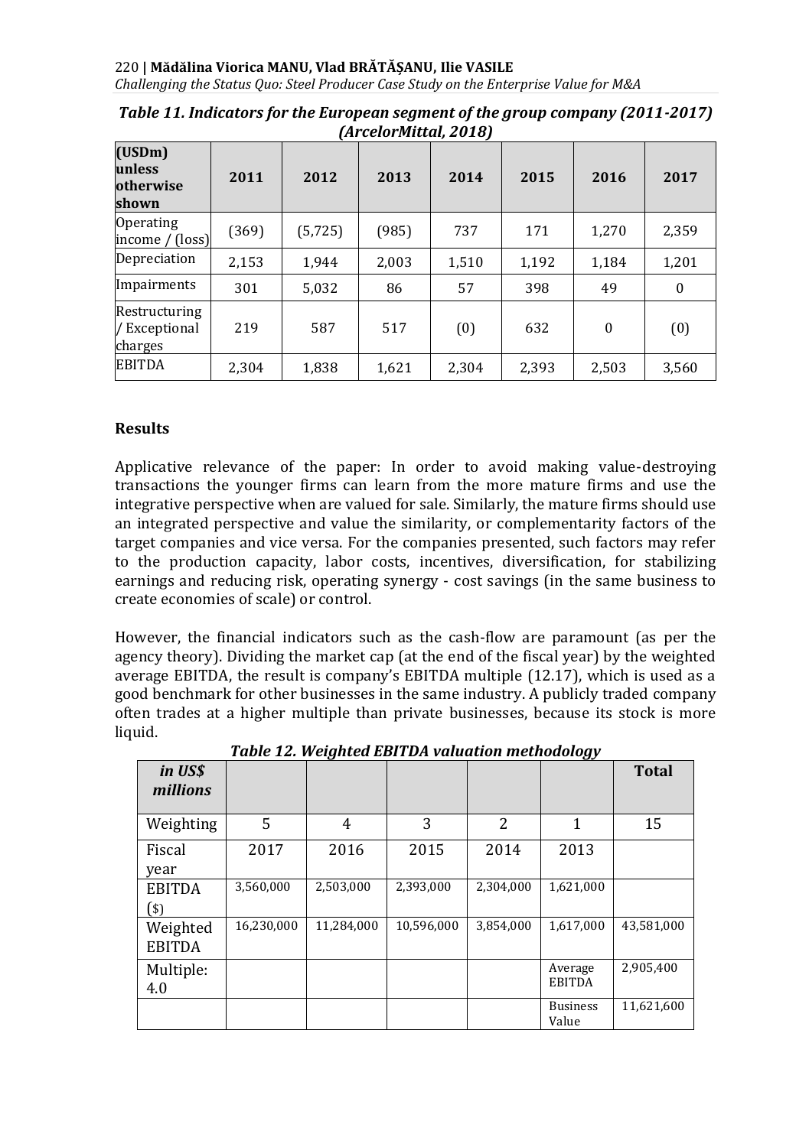**(USDm) unless otherwise shown 2011 2012 2013 2014 2015 2016 2017** Operating operating<br>income / (loss) (369) (5,725) (985) 737 171 1,270 2,359 Depreciation 2,153 1,944 2,003 1,510 1,192 1,184 1,201 Impairments 301 5,032 86 57 398 49 0 Restructuring / Exceptional charges 219 | 587 | 517 | (0) | 632 | 0 | (0) EBITDA 2,304 1,838 1,621 2,304 2,393 2,503 3,560

*Table 11. Indicators for the European segment of the group company (2011-2017) (ArcelorMittal, 2018)*

## **Results**

Applicative relevance of the paper: In order to avoid making value-destroying transactions the younger firms can learn from the more mature firms and use the integrative perspective when are valued for sale. Similarly, the mature firms should use an integrated perspective and value the similarity, or complementarity factors of the target companies and vice versa. For the companies presented, such factors may refer to the production capacity, labor costs, incentives, diversification, for stabilizing earnings and reducing risk, operating synergy - cost savings (in the same business to create economies of scale) or control.

However, the financial indicators such as the cash-flow are paramount (as per the agency theory). Dividing the market cap (at the end of the fiscal year) by the weighted average EBITDA, the result is company's EBITDA multiple (12.17), which is used as a good benchmark for other businesses in the same industry. A publicly traded company often trades at a higher multiple than private businesses, because its stock is more liquid.

| in US\$<br>millions       |            |            |            |           | ັ                        | <b>Total</b> |
|---------------------------|------------|------------|------------|-----------|--------------------------|--------------|
| Weighting                 | 5          | 4          | 3          | 2         | 1                        | 15           |
| Fiscal<br>year            | 2017       | 2016       | 2015       | 2014      | 2013                     |              |
| <b>EBITDA</b><br>(\$)     | 3,560,000  | 2,503,000  | 2,393,000  | 2,304,000 | 1,621,000                |              |
| Weighted<br><b>EBITDA</b> | 16,230,000 | 11,284,000 | 10,596,000 | 3,854,000 | 1,617,000                | 43,581,000   |
| Multiple:<br>4.0          |            |            |            |           | Average<br><b>EBITDA</b> | 2,905,400    |
|                           |            |            |            |           | <b>Business</b><br>Value | 11,621,600   |

*Table 12. Weighted EBITDA valuation methodology*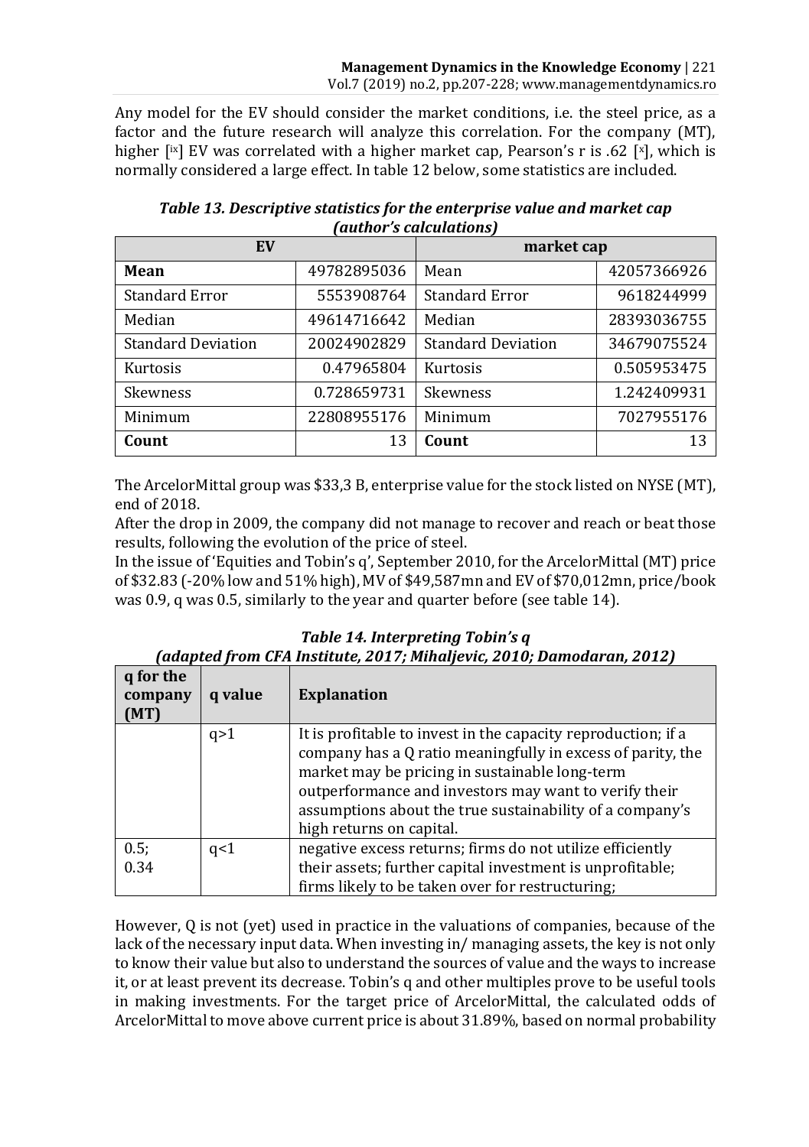Any model for the EV should consider the market conditions, i.e. the steel price, as a factor and the future research will analyze this correlation. For the company (MT), higher  $\lfloor x \rfloor$  EV was correlated with a higher market cap, Pearson's r is .62  $\lfloor x \rfloor$ , which is normally considered a large effect. In table 12 below, some statistics are included.

| EV                        |             | raachor 5 calcalacions r<br>market cap |             |  |
|---------------------------|-------------|----------------------------------------|-------------|--|
| Mean                      | 49782895036 | Mean                                   | 42057366926 |  |
| Standard Error            | 5553908764  | <b>Standard Error</b>                  | 9618244999  |  |
| Median                    | 49614716642 | Median                                 | 28393036755 |  |
| <b>Standard Deviation</b> | 20024902829 | <b>Standard Deviation</b>              | 34679075524 |  |
| Kurtosis                  | 0.47965804  | Kurtosis                               | 0.505953475 |  |
| Skewness                  | 0.728659731 | <b>Skewness</b>                        | 1.242409931 |  |
| Minimum                   | 22808955176 | Minimum                                | 7027955176  |  |
| Count                     | 13          | Count                                  | 13          |  |

*Table 13. Descriptive statistics for the enterprise value and market cap (author's calculations)*

The ArcelorMittal group was \$33,3 B, enterprise value for the stock listed on NYSE (MT), end of 2018.

After the drop in 2009, the company did not manage to recover and reach or beat those results, following the evolution of the price of steel.

In the issue of 'Equities and Tobin's q', September 2010, for the ArcelorMittal (MT) price of \$32.83 (-20% low and 51% high), MV of \$49,587mn and EV of \$70,012mn, price/book was 0.9, q was 0.5, similarly to the year and quarter before (see table 14).

|                             |         | (daaptea from CFA Institute, 2017; Minallevic, 2010; Damodaran, 2012)                                                                                                                                                                                                                                                           |
|-----------------------------|---------|---------------------------------------------------------------------------------------------------------------------------------------------------------------------------------------------------------------------------------------------------------------------------------------------------------------------------------|
| q for the<br>company<br>MT) | q value | <b>Explanation</b>                                                                                                                                                                                                                                                                                                              |
|                             | q>1     | It is profitable to invest in the capacity reproduction; if a<br>company has a Q ratio meaningfully in excess of parity, the<br>market may be pricing in sustainable long-term<br>outperformance and investors may want to verify their<br>assumptions about the true sustainability of a company's<br>high returns on capital. |
| 0.5;<br>0.34                | q<1     | negative excess returns; firms do not utilize efficiently<br>their assets; further capital investment is unprofitable;<br>firms likely to be taken over for restructuring;                                                                                                                                                      |

*Table 14. Interpreting Tobin's q (adapted from CFA Institute, 2017; Mihaljevic, 2010; Damodaran, 2012)*

However, Q is not (yet) used in practice in the valuations of companies, because of the lack of the necessary input data. When investing in/ managing assets, the key is not only to know their value but also to understand the sources of value and the ways to increase it, or at least prevent its decrease. Tobin's q and other multiples prove to be useful tools in making investments. For the target price of ArcelorMittal, the calculated odds of ArcelorMittal to move above current price is about 31.89%, based on normal probability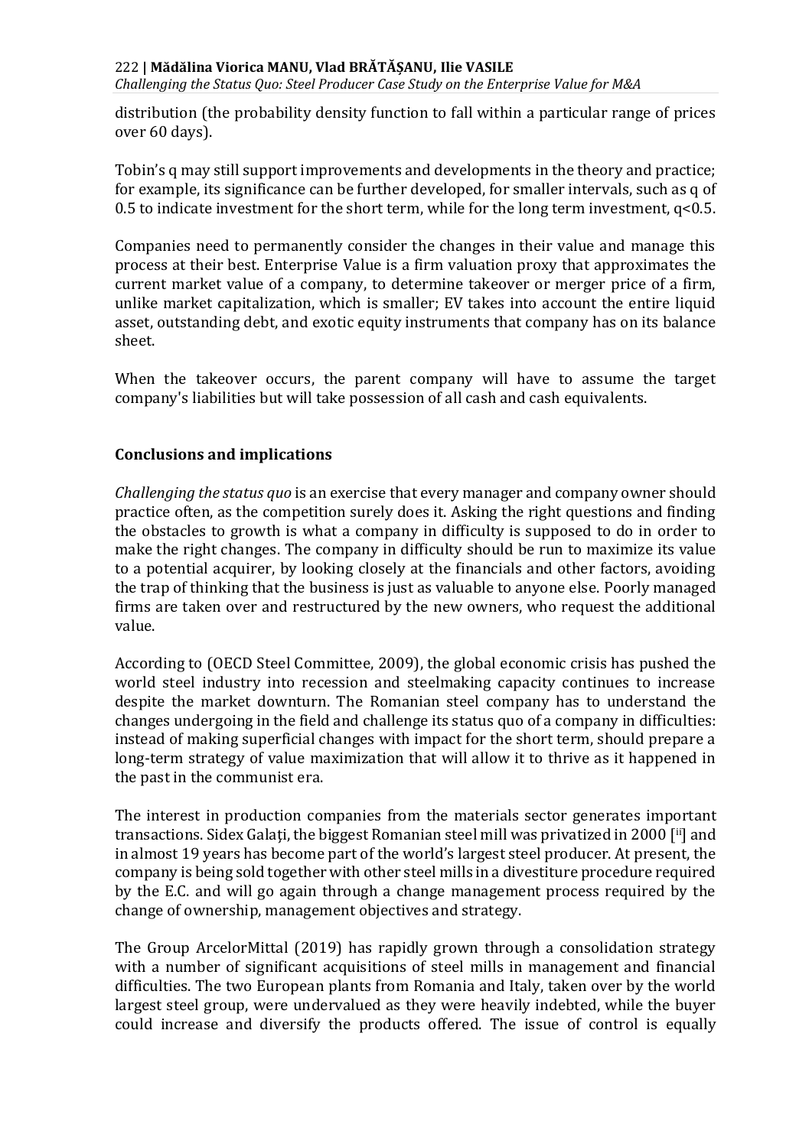*Challenging the Status Quo: Steel Producer Case Study on the Enterprise Value for M&A*

distribution (the probability density function to fall within a particular range of prices over 60 days).

Tobin's q may still support improvements and developments in the theory and practice; for example, its significance can be further developed, for smaller intervals, such as q of 0.5 to indicate investment for the short term, while for the long term investment,  $q<0.5$ .

Companies need to permanently consider the changes in their value and manage this process at their best. Enterprise Value is a firm valuation proxy that approximates the current market value of a company, to determine takeover or merger price of a firm, unlike market capitalization, which is smaller; EV takes into account the entire liquid asset, outstanding debt, and exotic equity instruments that company has on its balance sheet.

When the takeover occurs, the parent company will have to assume the target company's liabilities but will take possession of all cash and cash equivalents.

## **Conclusions and implications**

*Challenging the status quo* is an exercise that every manager and company owner should practice often, as the competition surely does it. Asking the right questions and finding the obstacles to growth is what a company in difficulty is supposed to do in order to make the right changes. The company in difficulty should be run to maximize its value to a potential acquirer, by looking closely at the financials and other factors, avoiding the trap of thinking that the business is just as valuable to anyone else. Poorly managed firms are taken over and restructured by the new owners, who request the additional value.

According to (OECD Steel Committee, 2009), the global economic crisis has pushed the world steel industry into recession and steelmaking capacity continues to increase despite the market downturn. The Romanian steel company has to understand the changes undergoing in the field and challenge its status quo of a company in difficulties: instead of making superficial changes with impact for the short term, should prepare a long-term strategy of value maximization that will allow it to thrive as it happened in the past in the communist era.

The interest in production companies from the materials sector generates important transactions. Sidex Galați, the biggest Romanian steel mill was privatized in 2000 [ii] and in almost 19 years has become part of the world's largest steel producer. At present, the company is being sold together with other steel mills in a divestiture procedure required by the E.C. and will go again through a change management process required by the change of ownership, management objectives and strategy.

The Group ArcelorMittal (2019) has rapidly grown through a consolidation strategy with a number of significant acquisitions of steel mills in management and financial difficulties. The two European plants from Romania and Italy, taken over by the world largest steel group, were undervalued as they were heavily indebted, while the buyer could increase and diversify the products offered. The issue of control is equally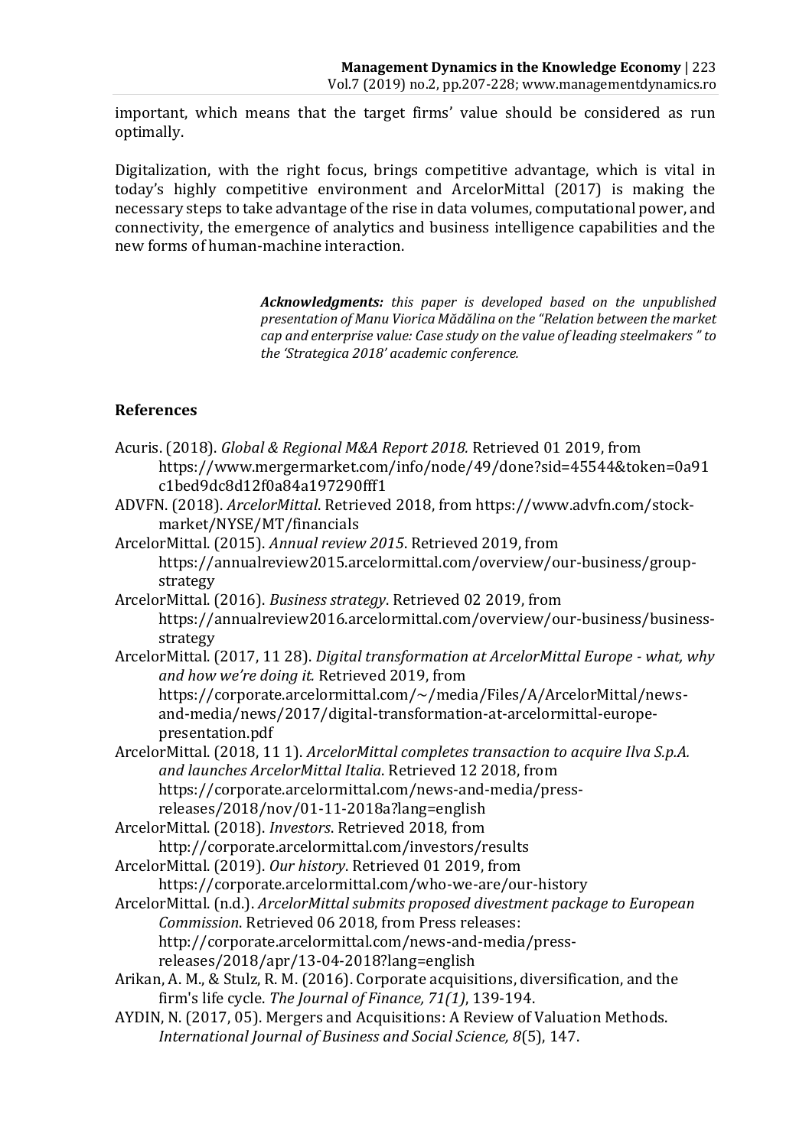important, which means that the target firms' value should be considered as run optimally.

Digitalization, with the right focus, brings competitive advantage, which is vital in today's highly competitive environment and ArcelorMittal (2017) is making the necessary steps to take advantage of the rise in data volumes, computational power, and connectivity, the emergence of analytics and business intelligence capabilities and the new forms of human-machine interaction.

> *Acknowledgments: this paper is developed based on the unpublished presentation of Manu Viorica Mădălina on the "Relation between the market cap and enterprise value: Case study on the value of leading steelmakers " to the 'Strategica 2018' academic conference.*

## **References**

- Acuris. (2018). *Global & Regional M&A Report 2018.* Retrieved 01 2019, from https://www.mergermarket.com/info/node/49/done?sid=45544&token=0a91 c1bed9dc8d12f0a84a197290fff1
- ADVFN. (2018). *ArcelorMittal*. Retrieved 2018, from https://www.advfn.com/stockmarket/NYSE/MT/financials

ArcelorMittal. (2015). *Annual review 2015*. Retrieved 2019, from https://annualreview2015.arcelormittal.com/overview/our-business/groupstrategy

- ArcelorMittal. (2016). *Business strategy*. Retrieved 02 2019, from https://annualreview2016.arcelormittal.com/overview/our-business/businessstrategy
- ArcelorMittal. (2017, 11 28). *Digital transformation at ArcelorMittal Europe - what, why and how we're doing it.* Retrieved 2019, from https://corporate.arcelormittal.com/~/media/Files/A/ArcelorMittal/newsand-media/news/2017/digital-transformation-at-arcelormittal-europepresentation.pdf
- ArcelorMittal. (2018, 11 1). *ArcelorMittal completes transaction to acquire Ilva S.p.A. and launches ArcelorMittal Italia*. Retrieved 12 2018, from https://corporate.arcelormittal.com/news-and-media/pressreleases/2018/nov/01-11-2018a?lang=english
- ArcelorMittal. (2018). *Investors*. Retrieved 2018, from http://corporate.arcelormittal.com/investors/results
- ArcelorMittal. (2019). *Our history*. Retrieved 01 2019, from https://corporate.arcelormittal.com/who-we-are/our-history
- ArcelorMittal. (n.d.). *ArcelorMittal submits proposed divestment package to European Commission*. Retrieved 06 2018, from Press releases: http://corporate.arcelormittal.com/news-and-media/pressreleases/2018/apr/13-04-2018?lang=english
- Arikan, A. M., & Stulz, R. M. (2016). Corporate acquisitions, diversification, and the firm's life cycle. *The Journal of Finance, 71(1)*, 139-194.
- AYDIN, N. (2017, 05). Mergers and Acquisitions: A Review of Valuation Methods. *International Journal of Business and Social Science, 8*(5), 147.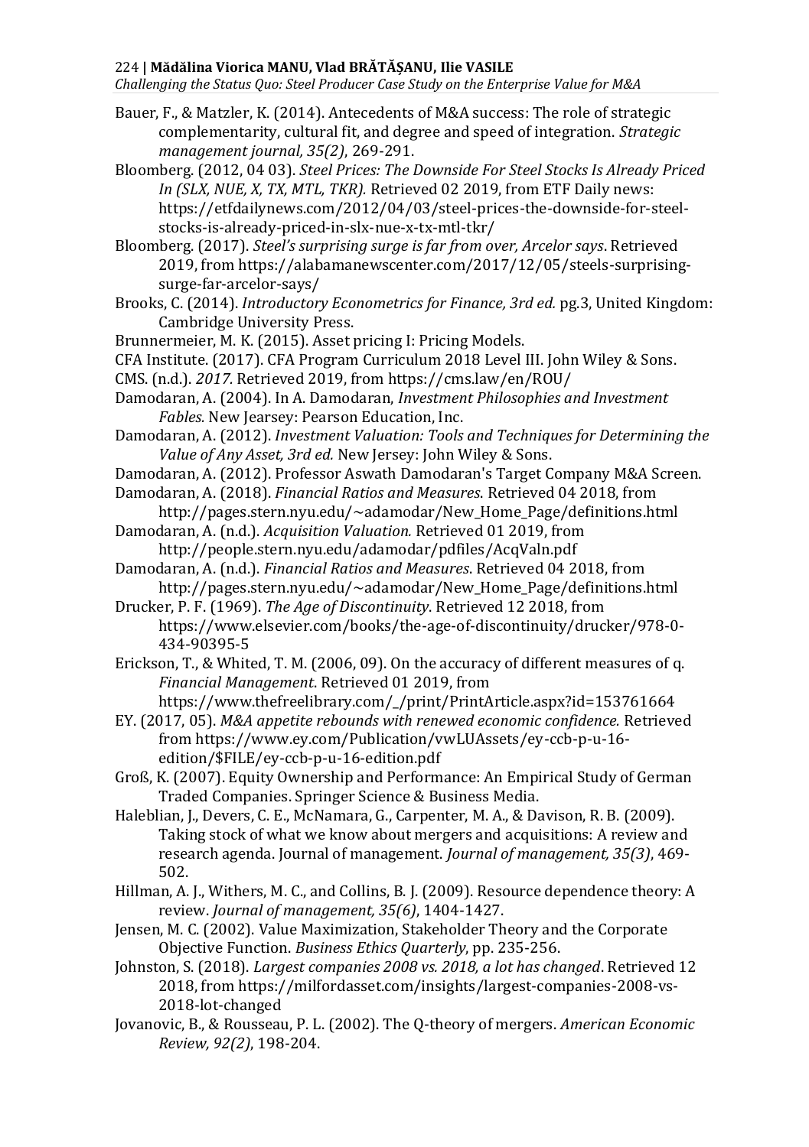*Challenging the Status Quo: Steel Producer Case Study on the Enterprise Value for M&A*

- Bauer, F., & Matzler, K. (2014). Antecedents of M&A success: The role of strategic complementarity, cultural fit, and degree and speed of integration. *Strategic management journal, 35(2)*, 269-291.
- Bloomberg. (2012, 04 03). *Steel Prices: The Downside For Steel Stocks Is Already Priced In (SLX, NUE, X, TX, MTL, TKR).* Retrieved 02 2019, from ETF Daily news: https://etfdailynews.com/2012/04/03/steel-prices-the-downside-for-steelstocks-is-already-priced-in-slx-nue-x-tx-mtl-tkr/
- Bloomberg. (2017). *Steel's surprising surge is far from over, Arcelor says*. Retrieved 2019, from https://alabamanewscenter.com/2017/12/05/steels-surprisingsurge-far-arcelor-says/
- Brooks, C. (2014). *Introductory Econometrics for Finance, 3rd ed.* pg.3, United Kingdom: Cambridge University Press.
- Brunnermeier, M. K. (2015). Asset pricing I: Pricing Models.
- CFA Institute. (2017). CFA Program Curriculum 2018 Level III. John Wiley & Sons.
- CMS. (n.d.). *2017.* Retrieved 2019, from https://cms.law/en/ROU/
- Damodaran, A. (2004). In A. Damodaran, *Investment Philosophies and Investment Fables.* New Jearsey: Pearson Education, Inc.
- Damodaran, A. (2012). *Investment Valuation: Tools and Techniques for Determining the Value of Any Asset, 3rd ed.* New Jersey: John Wiley & Sons.
- Damodaran, A. (2012). Professor Aswath Damodaran's Target Company M&A Screen.
- Damodaran, A. (2018). *Financial Ratios and Measures*. Retrieved 04 2018, from
- http://pages.stern.nyu.edu/~adamodar/New\_Home\_Page/definitions.html Damodaran, A. (n.d.). *Acquisition Valuation.* Retrieved 01 2019, from
	- http://people.stern.nyu.edu/adamodar/pdfiles/AcqValn.pdf
- Damodaran, A. (n.d.). *Financial Ratios and Measures*. Retrieved 04 2018, from http://pages.stern.nyu.edu/~adamodar/New\_Home\_Page/definitions.html
- Drucker, P. F. (1969). *The Age of Discontinuity*. Retrieved 12 2018, from https://www.elsevier.com/books/the-age-of-discontinuity/drucker/978-0- 434-90395-5
- Erickson, T., & Whited, T. M. (2006, 09). On the accuracy of different measures of q. *Financial Management*. Retrieved 01 2019, from https://www.thefreelibrary.com/\_/print/PrintArticle.aspx?id=153761664
- EY. (2017, 05). *M&A appetite rebounds with renewed economic confidence.* Retrieved from https://www.ey.com/Publication/vwLUAssets/ey-ccb-p-u-16 edition/\$FILE/ey-ccb-p-u-16-edition.pdf
- Groß, K. (2007). Equity Ownership and Performance: An Empirical Study of German Traded Companies. Springer Science & Business Media.
- Haleblian, J., Devers, C. E., McNamara, G., Carpenter, M. A., & Davison, R. B. (2009). Taking stock of what we know about mergers and acquisitions: A review and research agenda. Journal of management. *Journal of management, 35(3)*, 469- 502.
- Hillman, A. J., Withers, M. C., and Collins, B. J. (2009). Resource dependence theory: A review. *Journal of management, 35(6)*, 1404-1427.
- Jensen, M. C. (2002). Value Maximization, Stakeholder Theory and the Corporate Objective Function. *Business Ethics Quarterly*, pp. 235-256.
- Johnston, S. (2018). *Largest companies 2008 vs. 2018, a lot has changed*. Retrieved 12 2018, from https://milfordasset.com/insights/largest-companies-2008-vs-2018-lot-changed
- Jovanovic, B., & Rousseau, P. L. (2002). The Q-theory of mergers. *American Economic Review, 92(2)*, 198-204.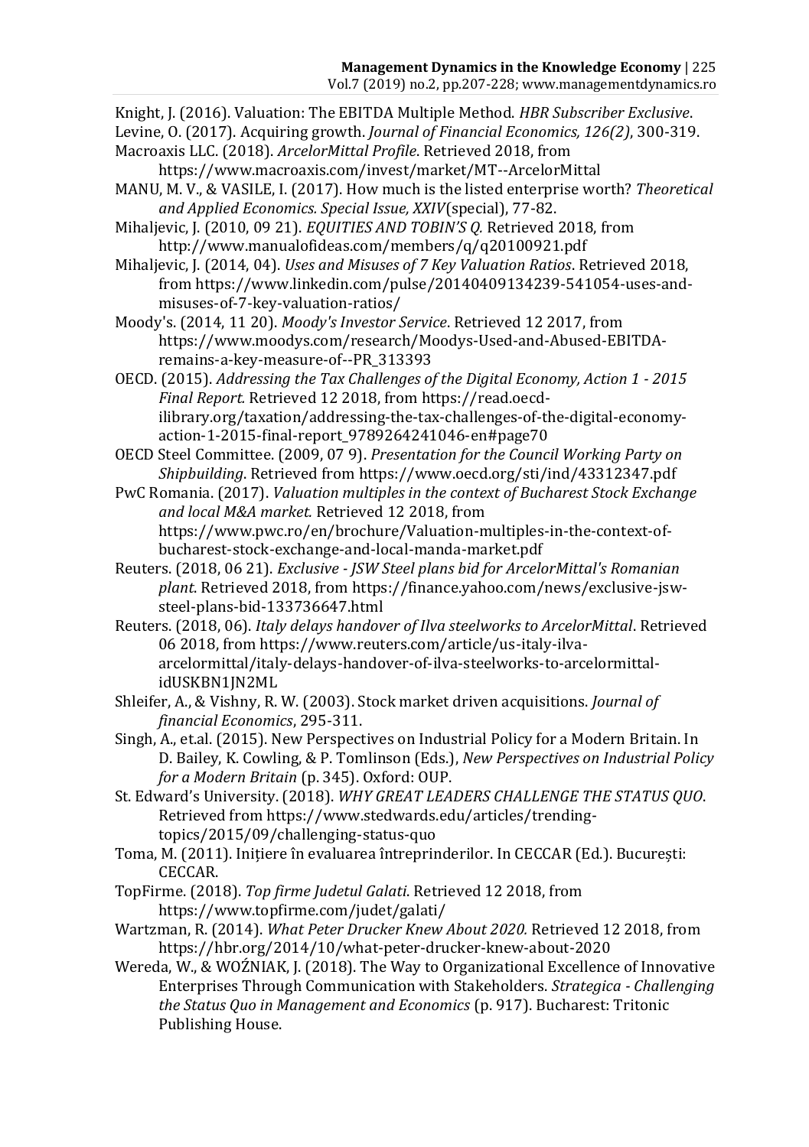Knight, J. (2016). Valuation: The EBITDA Multiple Method. *HBR Subscriber Exclusive*.

- Levine, O. (2017). Acquiring growth. *Journal of Financial Economics, 126(2)*, 300-319.
- Macroaxis LLC. (2018). *ArcelorMittal Profile*. Retrieved 2018, from https://www.macroaxis.com/invest/market/MT--ArcelorMittal
- MANU, M. V., & VASILE, I. (2017). How much is the listed enterprise worth? *Theoretical and Applied Economics. Special Issue, XXIV*(special), 77-82.
- Mihaljevic, J. (2010, 09 21). *EQUITIES AND TOBIN'S Q.* Retrieved 2018, from http://www.manualofideas.com/members/q/q20100921.pdf
- Mihaljevic, J. (2014, 04). *Uses and Misuses of 7 Key Valuation Ratios*. Retrieved 2018, from https://www.linkedin.com/pulse/20140409134239-541054-uses-andmisuses-of-7-key-valuation-ratios/
- Moody's. (2014, 11 20). *Moody's Investor Service*. Retrieved 12 2017, from https://www.moodys.com/research/Moodys-Used-and-Abused-EBITDAremains-a-key-measure-of--PR\_313393
- OECD. (2015). *Addressing the Tax Challenges of the Digital Economy, Action 1 - 2015 Final Report.* Retrieved 12 2018, from https://read.oecdilibrary.org/taxation/addressing-the-tax-challenges-of-the-digital-economyaction-1-2015-final-report\_9789264241046-en#page70
- OECD Steel Committee. (2009, 07 9). *Presentation for the Council Working Party on Shipbuilding*. Retrieved from https://www.oecd.org/sti/ind/43312347.pdf
- PwC Romania. (2017). *Valuation multiples in the context of Bucharest Stock Exchange and local M&A market.* Retrieved 12 2018, from https://www.pwc.ro/en/brochure/Valuation-multiples-in-the-context-ofbucharest-stock-exchange-and-local-manda-market.pdf
- Reuters. (2018, 06 21). *Exclusive - JSW Steel plans bid for ArcelorMittal's Romanian plant*. Retrieved 2018, from https://finance.yahoo.com/news/exclusive-jswsteel-plans-bid-133736647.html
- Reuters. (2018, 06). *Italy delays handover of Ilva steelworks to ArcelorMittal*. Retrieved 06 2018, from https://www.reuters.com/article/us-italy-ilvaarcelormittal/italy-delays-handover-of-ilva-steelworks-to-arcelormittalidUSKBN1JN2ML
- Shleifer, A., & Vishny, R. W. (2003). Stock market driven acquisitions. *Journal of financial Economics*, 295-311.
- Singh, A., et.al. (2015). New Perspectives on Industrial Policy for a Modern Britain. In D. Bailey, K. Cowling, & P. Tomlinson (Eds.), *New Perspectives on Industrial Policy for a Modern Britain* (p. 345). Oxford: OUP.
- St. Edward's University. (2018). *WHY GREAT LEADERS CHALLENGE THE STATUS QUO*. Retrieved from https://www.stedwards.edu/articles/trendingtopics/2015/09/challenging-status-quo
- Toma, M. (2011). Inițiere în evaluarea întreprinderilor. In CECCAR (Ed.). București: CECCAR.
- TopFirme. (2018). *Top firme Judetul Galati*. Retrieved 12 2018, from https://www.topfirme.com/judet/galati/
- Wartzman, R. (2014). *What Peter Drucker Knew About 2020.* Retrieved 12 2018, from https://hbr.org/2014/10/what-peter-drucker-knew-about-2020
- Wereda, W., & WOŹNIAK, J. (2018). The Way to Organizational Excellence of Innovative Enterprises Through Communication with Stakeholders. *Strategica - Challenging the Status Quo in Management and Economics* (p. 917). Bucharest: Tritonic Publishing House.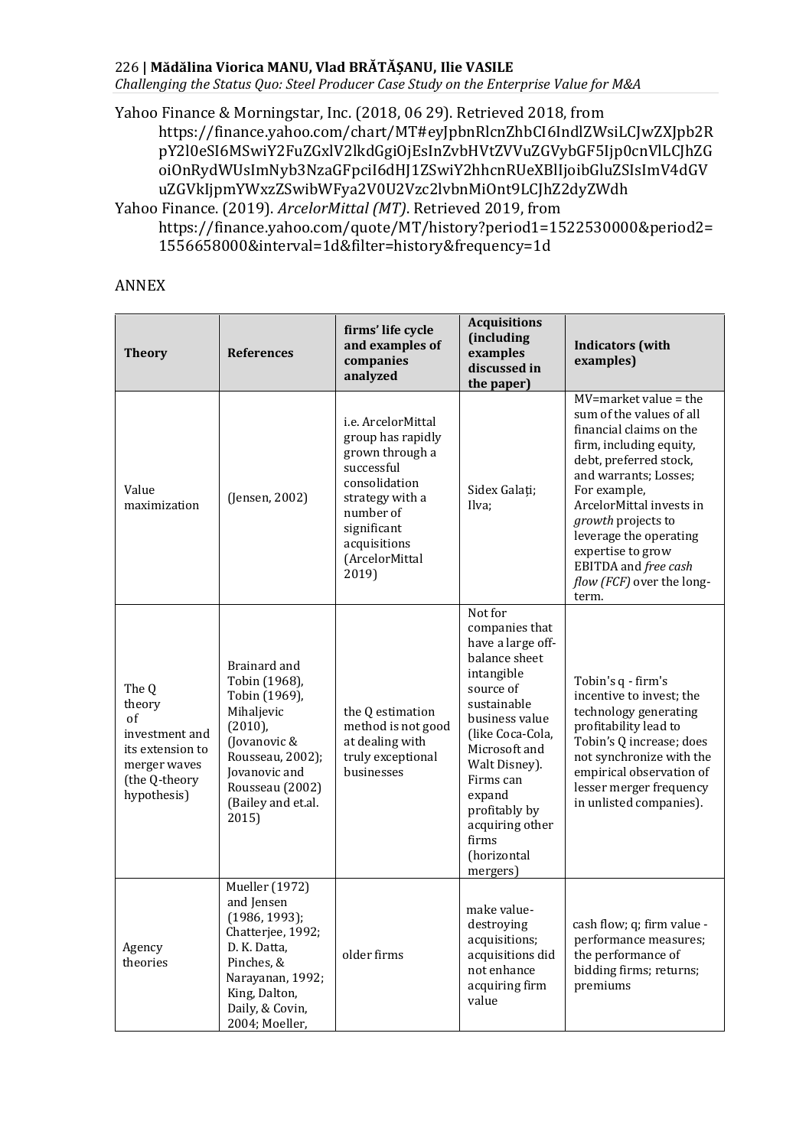*Challenging the Status Quo: Steel Producer Case Study on the Enterprise Value for M&A*

Yahoo Finance & Morningstar, Inc. (2018, 06 29). Retrieved 2018, from https://finance.yahoo.com/chart/MT#eyJpbnRlcnZhbCI6IndlZWsiLCJwZXJpb2R pY2l0eSI6MSwiY2FuZGxlV2lkdGgiOjEsInZvbHVtZVVuZGVybGF5Ijp0cnVlLCJhZG oiOnRydWUsImNyb3NzaGFpciI6dHJ1ZSwiY2hhcnRUeXBlIjoibGluZSIsImV4dGV uZGVkIjpmYWxzZSwibWFya2V0U2Vzc2lvbnMiOnt9LCJhZ2dyZWdh

Yahoo Finance. (2019). *ArcelorMittal (MT)*. Retrieved 2019, from https://finance.yahoo.com/quote/MT/history?period1=1522530000&period2= 1556658000&interval=1d&filter=history&frequency=1d

#### ANNEX

| <b>Theory</b>                                                                                               | <b>References</b>                                                                                                                                                                 | firms' life cycle<br>and examples of<br>companies<br>analyzed                                                                                                                       | <b>Acquisitions</b><br><i><b>fincluding</b></i><br>examples<br>discussed in<br>the paper)                                                                                                                                                                                        | <b>Indicators</b> (with<br>examples)                                                                                                                                                                                                                                                                                                          |
|-------------------------------------------------------------------------------------------------------------|-----------------------------------------------------------------------------------------------------------------------------------------------------------------------------------|-------------------------------------------------------------------------------------------------------------------------------------------------------------------------------------|----------------------------------------------------------------------------------------------------------------------------------------------------------------------------------------------------------------------------------------------------------------------------------|-----------------------------------------------------------------------------------------------------------------------------------------------------------------------------------------------------------------------------------------------------------------------------------------------------------------------------------------------|
| Value<br>maximization                                                                                       | (Jensen, 2002)                                                                                                                                                                    | i.e. ArcelorMittal<br>group has rapidly<br>grown through a<br>successful<br>consolidation<br>strategy with a<br>number of<br>significant<br>acquisitions<br>(ArcelorMittal<br>2019) | Sidex Galați;<br>Ilva;                                                                                                                                                                                                                                                           | $MV = market value = the$<br>sum of the values of all<br>financial claims on the<br>firm, including equity,<br>debt, preferred stock,<br>and warrants; Losses;<br>For example,<br>ArcelorMittal invests in<br>growth projects to<br>leverage the operating<br>expertise to grow<br>EBITDA and free cash<br>flow (FCF) over the long-<br>term. |
| The Q<br>theory<br>of<br>investment and<br>its extension to<br>merger waves<br>(the Q-theory<br>hypothesis) | Brainard and<br>Tobin (1968),<br>Tobin (1969),<br>Mihaljevic<br>$(2010)$ ,<br>(Jovanovic &<br>Rousseau, 2002);<br>Jovanovic and<br>Rousseau (2002)<br>(Bailey and et.al.<br>2015) | the Q estimation<br>method is not good<br>at dealing with<br>truly exceptional<br>businesses                                                                                        | Not for<br>companies that<br>have a large off-<br>balance sheet<br>intangible<br>source of<br>sustainable<br>business value<br>(like Coca-Cola,<br>Microsoft and<br>Walt Disney).<br>Firms can<br>expand<br>profitably by<br>acquiring other<br>firms<br>(horizontal<br>mergers) | Tobin's q - firm's<br>incentive to invest; the<br>technology generating<br>profitability lead to<br>Tobin's Q increase; does<br>not synchronize with the<br>empirical observation of<br>lesser merger frequency<br>in unlisted companies).                                                                                                    |
| Agency<br>theories                                                                                          | <b>Mueller</b> (1972)<br>and Jensen<br>(1986, 1993);<br>Chatterjee, 1992;<br>D. K. Datta,<br>Pinches, &<br>Narayanan, 1992;<br>King, Dalton,<br>Daily, & Covin,<br>2004; Moeller, | older firms                                                                                                                                                                         | make value-<br>destroying<br>acquisitions;<br>acquisitions did<br>not enhance<br>acquiring firm<br>value                                                                                                                                                                         | cash flow; q; firm value -<br>performance measures;<br>the performance of<br>bidding firms; returns;<br>premiums                                                                                                                                                                                                                              |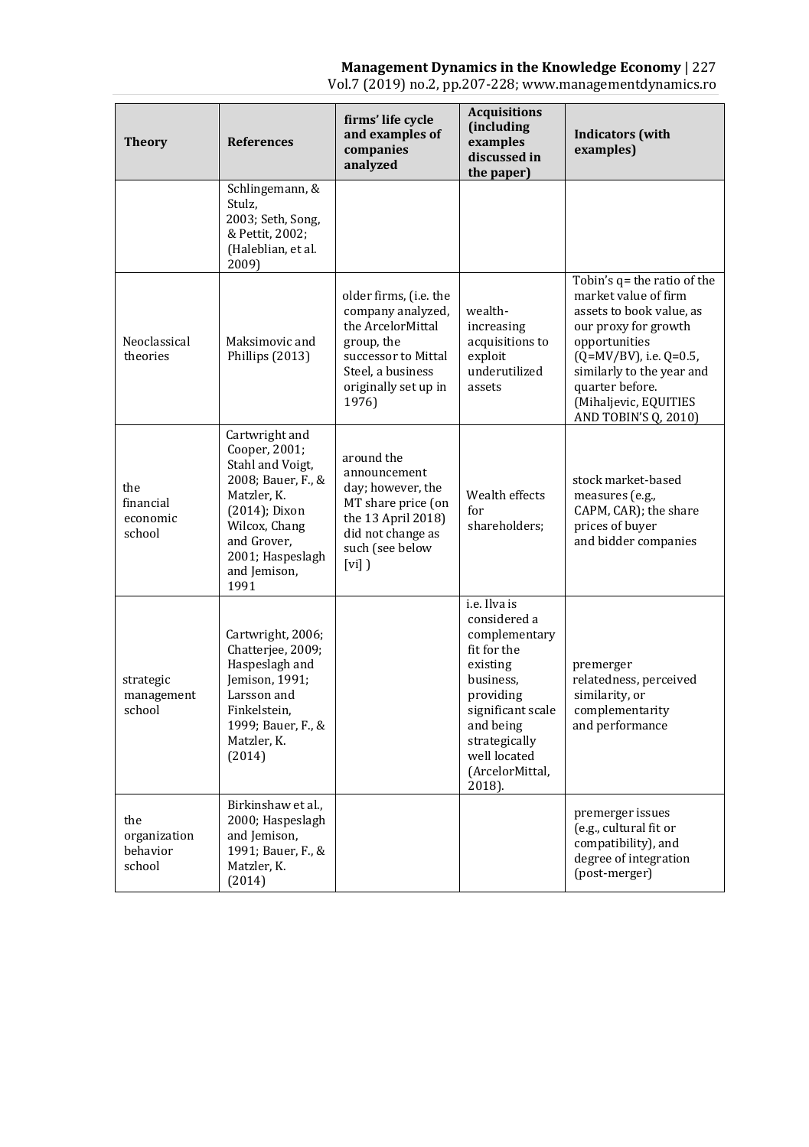#### **Management Dynamics in the Knowledge Economy** | 227

Vol.7 (2019) no.2, pp.207-228; www.managementdynamics.ro

| <b>Theory</b>                             | <b>References</b>                                                                                                                                                                     | firms' life cycle<br>and examples of<br>companies<br>analyzed                                                                                               | <b>Acquisitions</b><br>(including<br>examples<br>discussed in<br>the paper)                                                                                                                        | <b>Indicators</b> (with<br>examples)                                                                                                                                                                                                                |
|-------------------------------------------|---------------------------------------------------------------------------------------------------------------------------------------------------------------------------------------|-------------------------------------------------------------------------------------------------------------------------------------------------------------|----------------------------------------------------------------------------------------------------------------------------------------------------------------------------------------------------|-----------------------------------------------------------------------------------------------------------------------------------------------------------------------------------------------------------------------------------------------------|
|                                           | Schlingemann, &<br>Stulz,<br>2003; Seth, Song,<br>& Pettit, 2002;<br>(Haleblian, et al.<br>2009)                                                                                      |                                                                                                                                                             |                                                                                                                                                                                                    |                                                                                                                                                                                                                                                     |
| Neoclassical<br>theories                  | Maksimovic and<br>Phillips (2013)                                                                                                                                                     | older firms, (i.e. the<br>company analyzed,<br>the ArcelorMittal<br>group, the<br>successor to Mittal<br>Steel, a business<br>originally set up in<br>1976) | wealth-<br>increasing<br>acquisitions to<br>exploit<br>underutilized<br>assets                                                                                                                     | Tobin's q= the ratio of the<br>market value of firm<br>assets to book value, as<br>our proxy for growth<br>opportunities<br>(Q=MV/BV), i.e. Q=0.5,<br>similarly to the year and<br>quarter before.<br>(Mihaljevic, EQUITIES<br>AND TOBIN'S Q, 2010) |
| the<br>financial<br>economic<br>school    | Cartwright and<br>Cooper, 2001;<br>Stahl and Voigt,<br>2008; Bauer, F., &<br>Matzler, K.<br>(2014); Dixon<br>Wilcox, Chang<br>and Grover,<br>2001; Haspeslagh<br>and Jemison,<br>1991 | around the<br>announcement<br>day; however, the<br>MT share price (on<br>the 13 April 2018)<br>did not change as<br>such (see below<br>$[vi]$ )             | Wealth effects<br>for<br>shareholders;                                                                                                                                                             | stock market-based<br>measures (e.g.,<br>CAPM, CAR); the share<br>prices of buyer<br>and bidder companies                                                                                                                                           |
| strategic<br>management<br>school         | Cartwright, 2006;<br>Chatterjee, 2009;<br>Haspeslagh and<br>Iemison. 1991:<br>Larsson and<br>Finkelstein.<br>1999; Bauer, F., &<br>Matzler, K.<br>(2014)                              |                                                                                                                                                             | i.e. Ilva is<br>considered a<br>complementary<br>fit for the<br>existing<br>business.<br>providing<br>significant scale<br>and being<br>strategically<br>well located<br>(ArcelorMittal,<br>2018). | premerger<br>relatedness, perceived<br>similarity, or<br>complementarity<br>and performance                                                                                                                                                         |
| the<br>organization<br>behavior<br>school | Birkinshaw et al.,<br>2000; Haspeslagh<br>and Jemison,<br>1991; Bauer, F., &<br>Matzler, K.<br>(2014)                                                                                 |                                                                                                                                                             |                                                                                                                                                                                                    | premerger issues<br>(e.g., cultural fit or<br>compatibility), and<br>degree of integration<br>(post-merger)                                                                                                                                         |